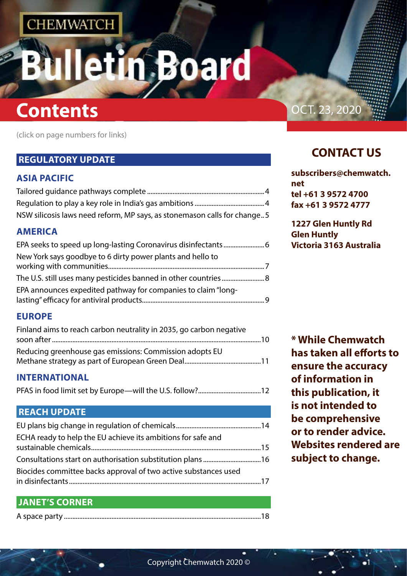# n Board

# **Contents Contents Contents Contents Contents Contents**

(click on page numbers for links)

## **[REGULATORY UPDATE](#page-2-0)**

## **[ASIA PACIFIC](#page-2-0)**

| NSW silicosis laws need reform, MP says, as stonemason calls for change5 |  |
|--------------------------------------------------------------------------|--|

## **[AMERICA](#page-3-0)**

| New York says goodbye to 6 dirty power plants and hello to    |  |
|---------------------------------------------------------------|--|
|                                                               |  |
| EPA announces expedited pathway for companies to claim "long- |  |

## **[EUROPE](#page-5-0)**

| Finland aims to reach carbon neutrality in 2035, go carbon negative |  |
|---------------------------------------------------------------------|--|
| Reducing greenhouse gas emissions: Commission adopts EU             |  |
|                                                                     |  |

## **[INTERNATIONAL](#page-6-0)**

[PFAS in food limit set by Europe—will the U.S. follow?.....................................12](#page-6-0)

## **[REACH UPDATE](#page-7-0)**

| ECHA ready to help the EU achieve its ambitions for safe and    |  |
|-----------------------------------------------------------------|--|
|                                                                 |  |
| Biocides committee backs approval of two active substances used |  |
|                                                                 |  |

## **[JANET'S CORNER](#page-9-0)**

|--|--|

## **CONTACT US**

**[subscribers@chemwatch.](mailto:subscribers@chemwatch.net) [net](mailto:subscribers@chemwatch.net) tel +61 3 9572 4700 fax +61 3 9572 4777**

**1227 Glen Huntly Rd Glen Huntly Victoria 3163 Australia**

**\* While Chemwatch has taken all efforts to ensure the accuracy of information in this publication, it is not intended to be comprehensive or to render advice. Websites rendered are subject to change.**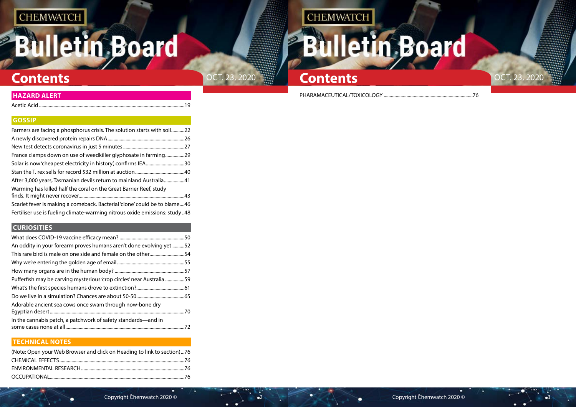# **Bulletin Board**





**[HAZARD ALERT](#page-9-0)** PHARAMACEUTICAL/TOXICOLOGY [..........................................................................76](#page-38-0)

Acetic Acid [.........................................................................................................................19](#page-9-0)

## **[GOSSIP](#page-11-0)**

| Farmers are facing a phosphorus crisis. The solution starts with soil22     |     |
|-----------------------------------------------------------------------------|-----|
|                                                                             | .26 |
|                                                                             | .27 |
| France clamps down on use of weedkiller glyphosate in farming               | .29 |
|                                                                             | .30 |
|                                                                             |     |
| After 3,000 years, Tasmanian devils return to mainland Australia41          |     |
| Warming has killed half the coral on the Great Barrier Reef, study          |     |
|                                                                             | 43  |
| Scarlet fever is making a comeback. Bacterial 'clone' could be to blame46   |     |
| Fertiliser use is fueling climate-warming nitrous oxide emissions: study 48 |     |

## **[CURIOSITIES](#page-25-0)**

| An oddity in your forearm proves humans aren't done evolving yet 52   |     |
|-----------------------------------------------------------------------|-----|
| This rare bird is male on one side and female on the other54          |     |
|                                                                       |     |
|                                                                       |     |
| Pufferfish may be carving mysterious 'crop circles' near Australia 59 |     |
|                                                                       |     |
|                                                                       |     |
| Adorable ancient sea cows once swam through now-bone dry              | .70 |
| In the cannabis patch, a patchwork of safety standards—and in         | .72 |

## **[TECHNICAL NOTES](#page-38-0)**

| (Note: Open your Web Browser and click on Heading to link to section)76 |  |
|-------------------------------------------------------------------------|--|
|                                                                         |  |
|                                                                         |  |
|                                                                         |  |

# **CHEMWATCH Illetin Board BM**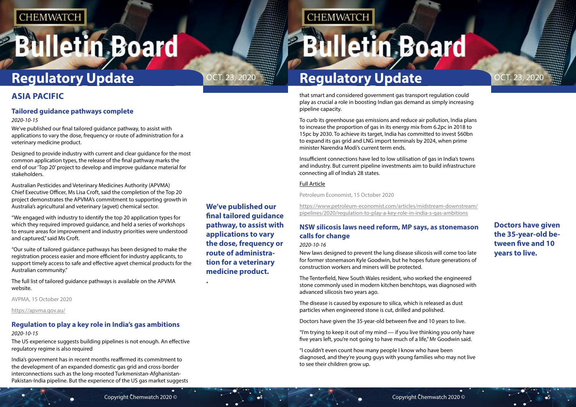# <span id="page-2-0"></span>**Bulletin Board**

**Doctors have given the 35-year-old between five and 10 years to live.**

# Oct. 23, 2020 Oct. 23, 2020 **Regulatory Update**

**We've published our final tailored guidance pathway, to assist with applications to vary the dose, frequency or route of administration for a veterinary medicine product.**

**.**

## **CHEMWATCH**

# **Bulletin Board**

that smart and considered government gas transport regulation could play as crucial a role in boosting Indian gas demand as simply increasing pipeline capacity.

To curb its greenhouse gas emissions and reduce air pollution, India plans to increase the proportion of gas in its energy mix from 6.2pc in 2018 to 15pc by 2030. To achieve its target, India has committed to invest \$60bn to expand its gas grid and LNG import terminals by 2024, when prime minister Narendra Modi's current term ends.

Insufficient connections have led to low utilisation of gas in India's towns and industry. But current pipeline investments aim to build infrastructure connecting all of India's 28 states.

### [Full Article](https://www.petroleum-economist.com/articles/midstream-downstream/pipelines/2020/regulation-to-play-a-key-role-in-india-s-gas-ambitions)

Petroleum Economist, 15 October 2020

[https://www.petroleum-economist.com/articles/midstream-downstream/](https://www.petroleum-economist.com/articles/midstream-downstream/pipelines/2020/regulation-to-play-a-key-role-in-india-s-gas-ambitions) [pipelines/2020/regulation-to-play-a-key-role-in-india-s-gas-ambitions](https://www.petroleum-economist.com/articles/midstream-downstream/pipelines/2020/regulation-to-play-a-key-role-in-india-s-gas-ambitions)

## **NSW silicosis laws need reform, MP says, as stonemason calls for change**

### *2020-10-16*

New laws designed to prevent the lung disease silicosis will come too late for former stonemason Kyle Goodwin, but he hopes future generations of construction workers and miners will be protected.

The Tenterfield, New South Wales resident, who worked the engineered stone commonly used in modern kitchen benchtops, was diagnosed with advanced silicosis two years ago.

The disease is caused by exposure to silica, [which is released as dust](https://www.abc.net.au/news/2019-09-16/silicosis-surge-prompts-call-for-ban-on-engineered-stone-product/11516138)  [particles](https://www.abc.net.au/news/2019-09-16/silicosis-surge-prompts-call-for-ban-on-engineered-stone-product/11516138) when engineered stone is cut, drilled and polished.

Doctors have given the 35-year-old between five and 10 years to live.

"I'm trying to keep it out of my mind — if you live thinking you only have five years left, you're not going to have much of a life," Mr Goodwin said.

"I couldn't even count how many people I know who have been diagnosed, and they're young guys with young families who may not live to see their children grow up.



## **ASIA PACIFIC**

## **Tailored guidance pathways complete**

### *2020-10-15*

We've published our final tailored guidance pathway, to assist with applications to vary the dose, frequency or route of administration for a veterinary medicine product.

Designed to provide industry with current and clear guidance for the most common application types, the release of the final pathway marks the end of our 'Top 20' project to develop and improve guidance material for stakeholders.

Australian Pesticides and Veterinary Medicines Authority (APVMA) Chief Executive Officer, Ms Lisa Croft, said the completion of the Top 20 project demonstrates the APVMA's commitment to supporting growth in Australia's agricultural and veterinary (agvet) chemical sector.

"We engaged with industry to identify the top 20 application types for which they required improved guidance, and held a series of workshops to ensure areas for improvement and industry priorities were understood and captured," said Ms Croft.

"Our suite of tailored guidance pathways has been designed to make the registration process easier and more efficient for industry applicants, to support timely access to safe and effective agvet chemical products for the Australian community."

The full list of tailored guidance pathways is available on the APVMA website.

AVPMA, 15 October 2020

<https://apvma.gov.au/>

## **Regulation to play a key role in India's gas ambitions**

### *2020-10-15*

The US experience suggests building pipelines is not enough. An effective regulatory regime is also required

India's government has in recent months reaffirmed its commitment to the development of an expanded domestic gas grid and cross-border interconnections such as the long-mooted Turkmenistan-Afghanistan-Pakistan-India pipeline. But the experience of the US gas market suggests

# **Regulatory Update**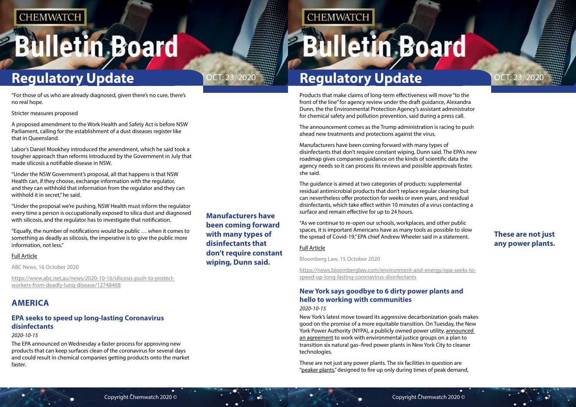# <span id="page-3-0"></span>**Bulletin Board**

# **Regulatory Update**

**These are not just any power plants.**

## **Manufacturers have been coming forward with many types of disinfectants that don't require constant wiping, Dunn said.**

## **CHEMWATCH**

# **Bulletin Board**

# OCT. 23, 2020  $\frac{1}{2}$  **Regulatory Update OCT. 23, 2020**

Products that make claims of long-term effectiveness will move "to the front of the line" for agency review under the [draft guidance,](https://www.epa.gov/pesticide-registration/interim-guidance-expedited-review-products-adding-residual-efficacy-claims) Alexandra Dunn, the the Environmental Protection Agency's assistant administrator for chemical safety and pollution prevention, said during a press call.

The announcement comes as the Trump administration is racing to push ahead new treatments and protections against the virus.

Manufacturers have been coming forward with many types of disinfectants that don't require constant wiping, Dunn said. The EPA's new roadmap gives companies guidance on the kinds of scientific data the agency needs so it can process its reviews and possible approvals faster, she said.

The guidance is aimed at two categories of products: supplemental residual antimicrobial products that don't replace regular cleaning but can nevertheless offer protection for weeks or even years, and residual disinfectants, which take effect within 10 minutes of a virus contacting a surface and remain effective for up to 24 hours.

"Under the NSW Government's proposal, all that happens is that NSW Health can, if they choose, exchange information with the regulator, and they can withhold that information from the regulator and they can withhold it in secret," he said.

> "As we continue to re-open our schools, workplaces, and other public spaces, it is important Americans have as many tools as possible to slow the spread of Covid-19," EPA chief Andrew Wheeler said in a statement.

### [Full Article](https://news.bloomberglaw.com/environment-and-energy/epa-seeks-to-speed-up-long-lasting-coronavirus-disinfectants)

Bloomberg Law, 15 October 2020

[https://news.bloomberglaw.com/environment-and-energy/epa-seeks-to](https://news.bloomberglaw.com/environment-and-energy/epa-seeks-to-speed-up-long-lasting-coronavirus-disinfectants)[speed-up-long-lasting-coronavirus-disinfectants](https://news.bloomberglaw.com/environment-and-energy/epa-seeks-to-speed-up-long-lasting-coronavirus-disinfectants)

## **New York says goodbye to 6 dirty power plants and hello to working with communities**

### *2020-10-15*

New York's latest move toward its aggressive decarbonization goals makes good on the promise of a more equitable transition. On Tuesday, the New York Power Authority (NYPA), a publicly owned power utility, announced [an agreement](https://8f997cf9-39a0-4cd7-b8b8-65190bb2551b.filesusr.com/ugd/f10969_59a79ccfc69549f7bc6a8b509b538f21.pdf) to work with environmental justice groups on a plan to transition six natural gas–fired power plants in New York City to cleaner technologies.

These are not just any power plants. The six facilities in question are ["peaker plants,](https://grist.org/justice/these-dirty-power-plants-cost-billions-and-only-operate-in-summer-can-they-be-replaced/)" designed to fire up only during times of peak demand,



"For those of us who are already diagnosed, given there's no cure, there's no real hope.

Stricter measures proposed

A proposed amendment to the Work Health and Safety Act is before NSW Parliament, calling for the establishment of a dust diseases register like that in Queensland.

Labor's Daniel Mookhey introduced the amendment, which he said took a tougher approach than reforms introduced by the Government in July that made silicosis a notifiable disease in NSW.

"Under the proposal we're pushing, NSW Health must inform the regulator every time a person is occupationally exposed to silica dust and diagnosed with silicosis, and the regulator has to investigate that notification.

"Equally, the number of notifications would be public … when it comes to something as deadly as silicosis, the imperative is to give the public more information, not less."

### [Full Article](https://www.abc.net.au/news/2020-10-16/silicosis-push-to-protect-workers-from-deadly-lung-disease/12748468)

ABC News, 16 October 2020

[https://www.abc.net.au/news/2020-10-16/silicosis-push-to-protect](https://www.abc.net.au/news/2020-10-16/silicosis-push-to-protect-workers-from-deadly-lung-disease/12748468)[workers-from-deadly-lung-disease/12748468](https://www.abc.net.au/news/2020-10-16/silicosis-push-to-protect-workers-from-deadly-lung-disease/12748468)

## **AMERICA**

## **EPA seeks to speed up long-lasting Coronavirus disinfectants**

*2020-10-15*

The EPA announced on Wednesday a faster process for approving new products that can keep surfaces clean of the coronavirus for several days and could result in chemical companies getting products onto the market faster.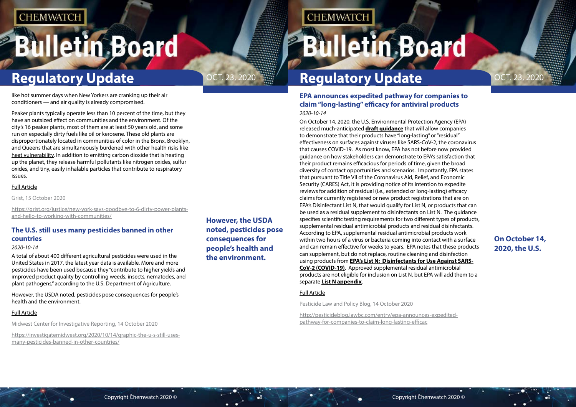# <span id="page-4-0"></span>**Bulletin Board**

# **Regulatory Update**

## **On October 14, 2020, the U.S.**



**However, the USDA noted, pesticides pose consequences for people's health and the environment.**

## **CHEMWATCH**

# **Bulletin Board**

# OCT. 23, 2020  $\frac{1}{2}$  **Regulatory Update OCT. 23, 2020**

## **EPA announces expedited pathway for companies to claim "long-lasting" efficacy for antiviral products** *2020-10-14*

On October 14, 2020, the U.S. Environmental Protection Agency (EPA) released much-anticipated **[draft guidance](https://www.epa.gov/pesticide-registration/interim-guidance-expedited-review-products-adding-residual-efficacy-claims)** that will allow companies to demonstrate that their products have "long-lasting" or "residual" effectiveness on surfaces against viruses like SARS-CoV-2, the coronavirus that causes COVID-19. As most know, EPA has not before now provided guidance on how stakeholders can demonstrate to EPA's satisfaction that their product remains efficacious for periods of time, given the broad diversity of contact opportunities and scenarios. Importantly, EPA states that pursuant to Title VII of the Coronavirus Aid, Relief, and Economic Security (CARES) Act, it is providing notice of its intention to expedite reviews for addition of residual (i.e., extended or long-lasting) efficacy claims for currently registered or new product registrations that are on EPA's Disinfectant List N, that would qualify for List N, or products that can be used as a residual supplement to disinfectants on List N. The guidance specifies scientific testing requirements for two different types of products, supplemental residual antimicrobial products and residual disinfectants. According to EPA, supplemental residual antimicrobial products work within two hours of a virus or bacteria coming into contact with a surface and can remain effective for weeks to years. EPA notes that these products can supplement, but do not replace, routine cleaning and disinfection using products from **[EPA's List N: Disinfectants for Use Against SARS-](https://lnks.gd/l/eyJhbGciOiJIUzI1NiJ9.eyJidWxsZXRpbl9saW5rX2lkIjoxMDEsInVyaSI6ImJwMjpjbGljayIsImJ1bGxldGluX2lkIjoiMjAyMDEwMTQuMjg3MzA2MzEiLCJ1cmwiOiJodHRwczovL2djYzAxLnNhZmVsaW5rcy5wcm90ZWN0aW9uLm91dGxvb2suY29tLz91cmw9aHR0cHMlM0ElMkYlMkZ1c2Vudmlyb25tZW50YWxwcm90ZWN0aW9uYWdlbmN5LmNtYWlsMTkuY29tJTJGdCUyRmQtbC1jdGtkbGctanlqeW51aHRoLXIlMkYmZGF0YT0wMiU3QzAxJTdDUGlwZXIuTWF5YSU0MGVwYS5nb3YlN0NmMDQ5OTg1MDRlY2I0ODUyMWIwYTA4ZDg3MDZmMWM3NyU3Qzg4YjM3OGIzNjc0ODQ4NjdhY2Y5NzZhYWNiZWNhNmE3JTdDMCU3QzAlN0M2MzczODI5Njk4MDMwMjkzODkmc2RhdGE9ejh6dU1UUjNYNnY3WUpwV2F4MyUyQmhNanl5NnBKNW1IVjRuMEJQbmRJbFhrJTNEJnJlc2VydmVkPTAifQ.AQLNpkDWJF9Qgqt_agF8rzUQFkbk_w1Y71SPLQZWn5o/s/192216784/br/86850450653-l)[CoV-2 \(COVID-19\)](https://lnks.gd/l/eyJhbGciOiJIUzI1NiJ9.eyJidWxsZXRpbl9saW5rX2lkIjoxMDEsInVyaSI6ImJwMjpjbGljayIsImJ1bGxldGluX2lkIjoiMjAyMDEwMTQuMjg3MzA2MzEiLCJ1cmwiOiJodHRwczovL2djYzAxLnNhZmVsaW5rcy5wcm90ZWN0aW9uLm91dGxvb2suY29tLz91cmw9aHR0cHMlM0ElMkYlMkZ1c2Vudmlyb25tZW50YWxwcm90ZWN0aW9uYWdlbmN5LmNtYWlsMTkuY29tJTJGdCUyRmQtbC1jdGtkbGctanlqeW51aHRoLXIlMkYmZGF0YT0wMiU3QzAxJTdDUGlwZXIuTWF5YSU0MGVwYS5nb3YlN0NmMDQ5OTg1MDRlY2I0ODUyMWIwYTA4ZDg3MDZmMWM3NyU3Qzg4YjM3OGIzNjc0ODQ4NjdhY2Y5NzZhYWNiZWNhNmE3JTdDMCU3QzAlN0M2MzczODI5Njk4MDMwMjkzODkmc2RhdGE9ejh6dU1UUjNYNnY3WUpwV2F4MyUyQmhNanl5NnBKNW1IVjRuMEJQbmRJbFhrJTNEJnJlc2VydmVkPTAifQ.AQLNpkDWJF9Qgqt_agF8rzUQFkbk_w1Y71SPLQZWn5o/s/192216784/br/86850450653-l)**. Approved supplemental residual antimicrobial products are not eligible for inclusion on List N, but EPA will add them to a separate **[List N appendix](https://lnks.gd/l/eyJhbGciOiJIUzI1NiJ9.eyJidWxsZXRpbl9saW5rX2lkIjoxMDIsInVyaSI6ImJwMjpjbGljayIsImJ1bGxldGluX2lkIjoiMjAyMDEwMTQuMjg3MzA2MzEiLCJ1cmwiOiJodHRwczovL2djYzAxLnNhZmVsaW5rcy5wcm90ZWN0aW9uLm91dGxvb2suY29tLz91cmw9aHR0cHMlM0ElMkYlMkZ1c2Vudmlyb25tZW50YWxwcm90ZWN0aW9uYWdlbmN5LmNtYWlsMTkuY29tJTJGdCUyRmQtbC1jdGtkbGctanlqeW51aHRoLXklMkYmZGF0YT0wMiU3QzAxJTdDUGlwZXIuTWF5YSU0MGVwYS5nb3YlN0NmMDQ5OTg1MDRlY2I0ODUyMWIwYTA4ZDg3MDZmMWM3NyU3Qzg4YjM3OGIzNjc0ODQ4NjdhY2Y5NzZhYWNiZWNhNmE3JTdDMCU3QzAlN0M2MzczODI5Njk4MDMwMzkzNDMmc2RhdGE9UHRYJTJCMndpTzZ5dFlIJTJCdFpqJTJCZnpDSmJHTjdaNzVIdjY3ODVVZ2w1RExOVSUzRCZyZXNlcnZlZD0wIn0.GgRewJ6UZ3KUimcNy2057owUNO3AB90eqaAsSS6BH4Y/s/192216784/br/86850450653-l)**.

### [Full Article](http://pesticideblog.lawbc.com/entry/epa-announces-expedited-pathway-for-companies-to-claim-long-lasting-efficac)

Pesticide Law and Policy Blog, 14 October 2020

[http://pesticideblog.lawbc.com/entry/epa-announces-expedited](http://pesticideblog.lawbc.com/entry/epa-announces-expedited-pathway-for-companies-to-claim-long-lasting-efficac)[pathway-for-companies-to-claim-long-lasting-efficac](http://pesticideblog.lawbc.com/entry/epa-announces-expedited-pathway-for-companies-to-claim-long-lasting-efficac)



like hot summer days when New Yorkers are cranking up their air conditioners — and air quality is already compromised.

Peaker plants typically operate less than 10 percent of the time, but they have an outsized effect on communities and the environment. Of the city's 16 peaker plants, most of them are at least 50 years old, and some run on especially dirty fuels like oil or kerosene. These old plants are disproportionately located in communities of color in the Bronx, Brooklyn, and Queens that are simultaneously burdened with other health risks like [heat vulnerability](http://a816-dohbesp.nyc.gov/IndicatorPublic/VisualizationData.aspx?id=2191,719b87,107,Map,Score,2018). In addition to emitting carbon dioxide that is heating up the planet, they release harmful pollutants like nitrogen oxides, sulfur oxides, and tiny, easily inhalable particles that contribute to respiratory issues.

### [Full Article](https://grist.org/justice/new-york-says-goodbye-to-6-dirty-power-plants-and-hello-to-working-with-communities/)

Grist, 15 October 2020

[https://grist.org/justice/new-york-says-goodbye-to-6-dirty-power-plants](https://grist.org/justice/new-york-says-goodbye-to-6-dirty-power-plants-and-hello-to-working-with-communities/)[and-hello-to-working-with-communities/](https://grist.org/justice/new-york-says-goodbye-to-6-dirty-power-plants-and-hello-to-working-with-communities/)

## **The U.S. still uses many pesticides banned in other countries**

### *2020-10-14*

A total of about 400 different agricultural pesticides were used in the United States in 2017, the latest year data is available. More and more pesticides have been used because they "contribute to higher yields and improved product quality by controlling weeds, insects, nematodes, and plant pathogens," [according to the U.S. Department of Agriculture.](https://www.ers.usda.gov/webdocs/publications/43854/46736_eib124_summary.pdf?v=0)

However, the USDA noted, pesticides pose consequences for people's health and the environment.

### [Full Article](https://investigatemidwest.org/2020/10/14/graphic-the-u-s-still-uses-many-pesticides-banned-in-other-countries/)

Midwest Center for Investigative Reporting, 14 October 2020

[https://investigatemidwest.org/2020/10/14/graphic-the-u-s-still-uses](https://investigatemidwest.org/2020/10/14/graphic-the-u-s-still-uses-many-pesticides-banned-in-other-countries/)[many-pesticides-banned-in-other-countries/](https://investigatemidwest.org/2020/10/14/graphic-the-u-s-still-uses-many-pesticides-banned-in-other-countries/)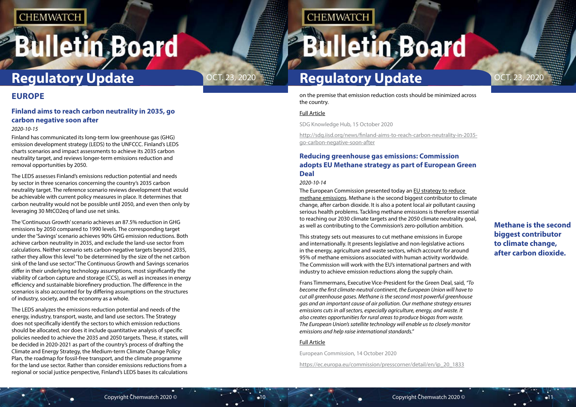# <span id="page-5-0"></span>**Bulletin Board**

**Methane is the second biggest contributor to climate change, after carbon dioxide.**

# **Regulatory Update Regulatory Update**

on the premise that emission reduction costs should be minimized across the country.

### [Full Article](http://sdg.iisd.org/news/finland-aims-to-reach-carbon-neutrality-in-2035-go-carbon-negative-soon-after)

SDG Knowledge Hub, 15 October 2020

**CHEMWATCH** 

[http://sdg.iisd.org/news/finland-aims-to-reach-carbon-neutrality-in-2035](http://sdg.iisd.org/news/finland-aims-to-reach-carbon-neutrality-in-2035-go-carbon-negative-soon-after) [go-carbon-negative-soon-after](http://sdg.iisd.org/news/finland-aims-to-reach-carbon-neutrality-in-2035-go-carbon-negative-soon-after)

The European Commission presented today an EU strategy to reduce [methane emissions.](https://ec.europa.eu/energy/sites/ener/files/eu_methane_strategy.pdf) Methane is the second biggest contributor to climate change, after carbon dioxide. It is also a potent local air pollutant causing serious health problems. Tackling methane emissions is therefore essential to reaching our 2030 climate targets and the 2050 climate neutrality goal, as well as contributing to the Commission's zero-pollution ambition.

## **Reducing greenhouse gas emissions: Commission adopts EU Methane strategy as part of European Green Deal**

### *2020-10-14*

This strategy sets out measures to cut methane emissions in Europe and internationally. It presents legislative and non-legislative actions in the energy, agriculture and waste sectors, which account for around 95% of methane emissions associated with human activity worldwide. The Commission will work with the EU's international partners and with industry to achieve emission reductions along the supply chain.

Frans Timmermans, Executive Vice-President for the Green Deal, said, *"To become the first climate-neutral continent, the European Union will have to cut all greenhouse gases. Methane is the second most powerful greenhouse gas and an important cause of air pollution. Our methane strategy ensures emissions cuts in all sectors, especially agriculture, energy, and waste. It also creates opportunities for rural areas to produce biogas from waste. The European Union's satellite technology will enable us to closely monitor emissions and help raise international standards."*

### [Full Article](https://ec.europa.eu/commission/presscorner/detail/en/ip_20_1833)

European Commission, 14 October 2020

[https://ec.europa.eu/commission/presscorner/detail/en/ip\\_20\\_1833](https://ec.europa.eu/commission/presscorner/detail/en/ip_20_1833)



## **EUROPE**

## **Finland aims to reach carbon neutrality in 2035, go carbon negative soon after**

### *2020-10-15*

Finland has communicated its long-term low greenhouse gas (GHG) emission development strategy (LEDS) to the UNFCCC. Finland's LEDS charts scenarios and impact assessments to achieve its 2035 carbon neutrality target, and reviews longer-term emissions reduction and removal opportunities by 2050.

The LEDS assesses Finland's emissions reduction potential and needs by sector in three scenarios concerning the country's 2035 carbon neutrality target. The reference scenario reviews development that would be achievable with current policy measures in place. It determines that carbon neutrality would not be possible until 2050, and even then only by leveraging 30 MtCO2eq of land use net sinks.

The 'Continuous Growth' scenario achieves an 87.5% reduction in GHG emissions by 2050 compared to 1990 levels. The corresponding target under the 'Savings' scenario achieves 90% GHG emission reductions. Both achieve carbon neutrality in 2035, and exclude the land-use sector from calculations. Neither scenario sets carbon-negative targets beyond 2035, rather they allow this level "to be determined by the size of the net carbon sink of the land use sector." The Continuous Growth and Savings scenarios differ in their underlying technology assumptions, most significantly the viability of carbon capture and storage (CCS), as well as increases in energy efficiency and sustainable biorefinery production. The difference in the scenarios is also accounted for by differing assumptions on the structures of industry, society, and the economy as a whole.

The LEDS analyzes the emissions reduction potential and needs of the energy, industry, transport, waste, and land use sectors. The Strategy does not specifically identify the sectors to which emission reductions should be allocated, nor does it include quantitative analysis of specific policies needed to achieve the 2035 and 2050 targets. These, it states, will be decided in 2020-2021 as part of the country's process of drafting the Climate and Energy Strategy, the Medium-term Climate Change Policy Plan, the roadmap for fossil-free transport, and the climate programme for the land use sector. Rather than consider emissions reductions from a regional or social justice perspective, Finland's LEDS bases its calculations

# OCT. 23, 2020  $\frac{1}{2}$  **Regulatory Update OCT. 23, 2020**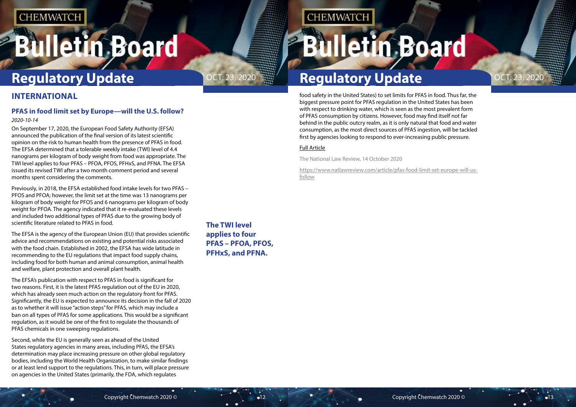# <span id="page-6-0"></span>**Bulletin Board**

**The TWI level applies to four PFAS – PFOA, PFOS, PFHxS, and PFNA.**

# OCT. 23, 2020  $\frac{1}{2}$  **Regulatory Update OCT. 23, 2020**

**CHEMWATCH** 

# **Regulatory Update Regulatory Update**

food safety in the United States) to set limits for PFAS in food. Thus far, the biggest pressure point for PFAS regulation in the United States has been with respect to drinking water, which is seen as the most prevalent form of PFAS consumption by citizens. However, food may find itself not far behind in the public outcry realm, as it is only natural that food and water consumption, as the most direct sources of PFAS ingestion, will be tackled first by agencies looking to respond to ever-increasing public pressure.

### [Full Article](https://www.natlawreview.com/article/pfas-food-limit-set-europe-will-us-follow)

The National Law Review, 14 October 2020

[https://www.natlawreview.com/article/pfas-food-limit-set-europe-will-us](https://www.natlawreview.com/article/pfas-food-limit-set-europe-will-us-follow)[follow](https://www.natlawreview.com/article/pfas-food-limit-set-europe-will-us-follow)





## **INTERNATIONAL**

## **PFAS in food limit set by Europe—will the U.S. follow?**

### *2020-10-14*

On September 17, 2020, the European Food Safety Authority (EFSA) [announced](http://www.efsa.europa.eu/en/news/pfas-food-efsa-assesses-risks-and-sets-tolerable-intake) the publication of the final version of its latest [scientific](http://www.efsa.europa.eu/en/efsajournal/pub/6223)  [opinion](http://www.efsa.europa.eu/en/efsajournal/pub/6223) on the risk to human health from the presence of PFAS in food. The EFSA determined that a tolerable weekly intake (TWI) level of 4.4 nanograms per kilogram of body weight from food was appropriate. The TWI level applies to four PFAS – PFOA, PFOS, PFHxS, and PFNA. The EFSA issued its revised TWI after a two month comment period and several months spent considering the comments.

Previously, in 2018, the EFSA established [food intake levels](https://www.foodpackagingforum.org/news/efsa-opinion-on-pfoa-and-pfos-in-food) for two PFAS – PFOS and PFOA; however, the limit set at the time was 13 nanograms per kilogram of body weight for PFOS and 6 nanograms per kilogram of body weight for PFOA. The agency indicated that it re-evaluated these levels and included two additional types of PFAS due to the growing body of scientific literature related to PFAS in food.

The EFSA is the agency of the European Union (EU) that provides scientific advice and recommendations on existing and potential risks associated with the food chain. Established in 2002, the EFSA has wide latitude in recommending to the EU regulations that impact food supply chains, including food for both human and animal consumption, animal health and welfare, plant protection and overall plant health.

The EFSA's publication with respect to PFAS in food is significant for two reasons. First, it is the latest PFAS regulation out of the EU in 2020, which has already seen much action on the regulatory front for PFAS. Significantly, the EU is expected to announce its decision in the fall of 2020 as to whether it will issue "action steps" for PFAS, which may include a ban on all types of PFAS for some applications. This would be a significant regulation, as it would be one of the first to regulate the thousands of PFAS chemicals in one sweeping regulations.

Second, while the EU is generally seen as ahead of the United States regulatory agencies in many areas, including PFAS, the EFSA's determination may place increasing pressure on other global regulatory bodies, including the World Health Organization, to make similar findings or at least lend support to the regulations. This, in turn, will place pressure on agencies in the United States (primarily, the FDA, which regulates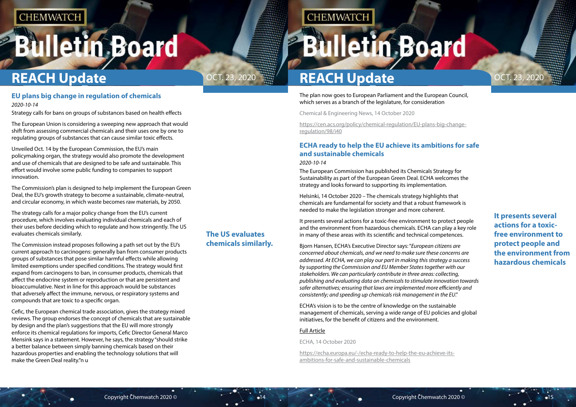# <span id="page-7-0"></span>**Bulletin Board**

**It presents several actions for a toxicfree environment to protect people and the environment from hazardous chemicals**



**The US evaluates** 

**chemicals similarly.**

The plan now goes to European Parliament and the European Council, which serves as a branch of the legislature, for consideration

Chemical & Engineering News, 14 October 2020

[https://cen.acs.org/policy/chemical-regulation/EU-plans-big-change](https://cen.acs.org/policy/chemical-regulation/EU-plans-big-change-regulation/98/i40)[regulation/98/i40](https://cen.acs.org/policy/chemical-regulation/EU-plans-big-change-regulation/98/i40)

## **ECHA ready to help the EU achieve its ambitions for safe and sustainable chemicals**

### *2020-10-14*

The European Commission has published its Chemicals Strategy for Sustainability as part of the European Green Deal. ECHA welcomes the strategy and looks forward to supporting its implementation.

Helsinki, 14 October 2020 – The chemicals strategy highlights that chemicals are fundamental for society and that a robust framework is needed to make the legislation stronger and more coherent.

It presents several actions for a toxic-free environment to protect people and the environment from hazardous chemicals. ECHA can play a key role in many of these areas with its scientific and technical competences.

Bjorn Hansen, ECHA's Executive Director says: "*European citizens are concerned about chemicals, and we need to make sure these concerns are addressed. At ECHA, we can play our part in making this strategy a success by supporting the Commission and EU Member States together with our stakeholders. We can particularly contribute in three areas: collecting, publishing and evaluating data on chemicals to stimulate innovation towards safer alternatives; ensuring that laws are implemented more efficiently and consistently; and speeding up chemicals risk management in the EU*."

ECHA's vision is to be the centre of knowledge on the sustainable management of chemicals, serving a wide range of EU policies and global initiatives, for the benefit of citizens and the environment.

### [Full Article](https://echa.europa.eu/-/echa-ready-to-help-the-eu-achieve-its-ambitions-for-safe-and-sustainable-chemicals)

ECHA, 14 October 2020

[https://echa.europa.eu/-/echa-ready-to-help-the-eu-achieve-its](https://echa.europa.eu/-/echa-ready-to-help-the-eu-achieve-its-ambitions-for-safe-and-sustainable-chemicals)[ambitions-for-safe-and-sustainable-chemicals](https://echa.europa.eu/-/echa-ready-to-help-the-eu-achieve-its-ambitions-for-safe-and-sustainable-chemicals)

## **EU plans big change in regulation of chemicals**

*2020-10-14*

Strategy calls for bans on groups of substances based on health effects

The European Union is considering a sweeping new approach that would shift from assessing commercial chemicals and their uses one by one to regulating groups of substances that can cause similar toxic effects.

Unveiled Oct. 14 by the European Commission, the EU's main policymaking organ, [the strategy](https://ec.europa.eu/environment/strategy/chemicals-strategy_en) would also promote the development and use of chemicals that are designed to be safe and sustainable. This effort would involve some public funding to companies to support innovation.

The Commission's plan is designed to help implement the [European Green](https://ec.europa.eu/info/strategy/priorities-2019-2024/european-green-deal_en)  [Deal,](https://ec.europa.eu/info/strategy/priorities-2019-2024/european-green-deal_en) the EU's growth strategy to become a sustainable, climate-neutral, and circular economy, in which waste becomes raw materials, by 2050.

The strategy calls for a major policy change from the EU's current procedure, which involves evaluating individual chemicals and each of their uses before deciding which to regulate and how stringently. The US evaluates chemicals similarly.

The Commission instead proposes following a path set out by the EU's current approach to carcinogens: generally ban from consumer products groups of substances that pose similar harmful effects while allowing limited exemptions under specified conditions. The strategy would first expand from carcinogens to ban, in consumer products, chemicals that affect the endocrine system or reproduction or that are persistent and bioaccumulative. Next in line for this approach would be substances that adversely affect the immune, nervous, or respiratory systems and compounds that are toxic to a specific organ.

Cefic, the European chemical trade association, gives the strategy mixed reviews. The group endorses the concept of chemicals that are sustainable by design and the plan's suggestions that the EU will more strongly enforce its chemical regulations for imports, Cefic Director General Marco Mensink [says](https://cefic.org/media-corner/newsroom/cefic-welcomes-new-enforcement-and-innovation-proposals-in-new-chemical-strategy-for-sustainability-but-warns-missed-opportunity-and-uncoordinated-approach-risk-undermining-eu) in a statement. However, he says, the strategy "should strike a better balance between simply banning chemicals based on their hazardous properties and enabling the technology solutions that will make the Green Deal reality."n u

**CHEMWATCH** 

# **REACH Update**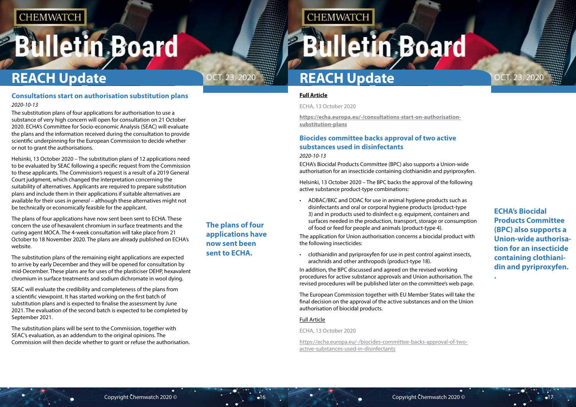# <span id="page-8-0"></span>**Bulletin Board**



**ECHA's Biocidal Products Committee (BPC) also supports a Union-wide authorisation for an insecticide containing clothianidin and pyriproxyfen. .**

## **The plans of four applications have now sent been sent to ECHA.**

**CHEMWATCH** 

# **REACH Update REACH Update**

### **[Full Article](https://echa.europa.eu/-/consultations-start-on-authorisation-substitution-plans)**

ECHA, 13 October 2020

**[https://echa.europa.eu/-/consultations-start-on-authorisation](https://echa.europa.eu/-/consultations-start-on-authorisation-substitution-plans)[substitution-plans](https://echa.europa.eu/-/consultations-start-on-authorisation-substitution-plans)**

## **Biocides committee backs approval of two active substances used in disinfectants**

*2020-10-13*

ECHA's Biocidal Products Committee (BPC) also supports a Union-wide authorisation for an insecticide containing clothianidin and pyriproxyfen.

Helsinki, 13 October 2020 – The BPC backs the approval of the following active substance product-type combinations:

• ADBAC/BKC and DDAC for use in animal hygiene products such as disinfectants and oral or corporal hygiene products (product-type 3) and in products used to disinfect e.g. equipment, containers and surfaces needed in the production, transport, storage or consumption of food or feed for people and animals (product-type 4).

The application for Union authorisation concerns a biocidal product with the following insecticides:

• clothianidin and pyriproxyfen for use in pest control against insects, arachnids and other anthropods (product-type 18).

In addition, the BPC discussed and agreed on the revised working procedures for active substance approvals and Union authorisation. The revised procedures will be published later on the committee's web page.

The European Commission together with EU Member States will take the final decision on the approval of the active substances and on the Union authorisation of biocidal products.

### [Full Article](https://echa.europa.eu/-/biocides-committee-backs-approval-of-two-active-substances-used-in-disinfectants)

ECHA, 13 October 2020

[https://echa.europa.eu/-/biocides-committee-backs-approval-of-two](https://echa.europa.eu/-/biocides-committee-backs-approval-of-two-active-substances-used-in-disinfectants)[active-substances-used-in-disinfectants](https://echa.europa.eu/-/biocides-committee-backs-approval-of-two-active-substances-used-in-disinfectants)

## **Consultations start on authorisation substitution plans** *2020-10-13*

The substitution plans of four applications for authorisation to use a substance of very high concern will open for consultation on 21 October 2020. ECHA's Committee for Socio-economic Analysis (SEAC) will evaluate the plans and the information received during the consultation to provide scientific underpinning for the European Commission to decide whether or not to grant the authorisations.

Helsinki, 13 October 2020 – The substitution plans of 12 applications need to be evaluated by SEAC following a specific request from the Commission to these applicants. The Commission's request is a result of a 2019 General Court judgment, which changed the interpretation concerning the suitability of alternatives. Applicants are required to prepare substitution plans and include them in their applications if suitable alternatives are available for their uses *in general* – although these alternatives might not be technically or economically feasible for the applicant.

The plans of four applications have now sent been sent to ECHA. These concern the use of hexavalent chromium in surface treatments and the curing agent MOCA. The 4-week consultation will take place from 21 October to 18 November 2020. The plans are already published on ECHA's website.

The substitution plans of the remaining eight applications are expected to arrive by early December and they will be opened for consultation by mid-December. These plans are for uses of the plasticiser DEHP, hexavalent chromium in surface treatments and sodium dichromate in wool dying.

SEAC will evaluate the credibility and completeness of the plans from a scientific viewpoint. It has started working on the first batch of substitution plans and is expected to finalise the assessment by June 2021. The evaluation of the second batch is expected to be completed by September 2021.

The substitution plans will be sent to the Commission, together with SEAC's evaluation, as an addendum to the original opinions. The Commission will then decide whether to grant or refuse the authorisation.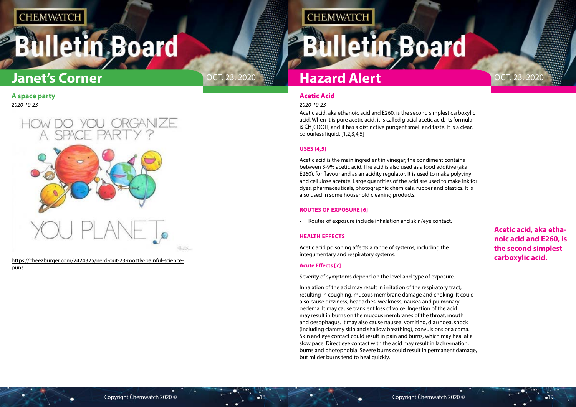# <span id="page-9-0"></span>**Bulletin Board**



**Acetic acid, aka ethanoic acid and E260, is the second simplest carboxylic acid.**

## **Acetic Acid**

### *2020-10-23*

Acetic acid, aka ethanoic acid and E260, is the second simplest carboxylic acid. When it is pure acetic acid, it is called glacial acetic acid. Its formula is CH<sub>3</sub>COOH, and it has a distinctive pungent smell and taste. It is a clear, colourless liquid. [1,2,3,4,5]

### **USES [4,5]**

Acetic acid is the main ingredient in vinegar; the condiment contains between 3-9% acetic acid. The acid is also used as a food additive (aka E260), for flavour and as an acidity regulator. It is used to make polyvinyl and cellulose acetate. Large quantities of the acid are used to make ink for dyes, pharmaceuticals, photographic chemicals, rubber and plastics. It is also used in some household cleaning products.

### **ROUTES OF EXPOSURE [6]**

• Routes of exposure include inhalation and skin/eye contact.

### **HEALTH EFFECTS**

Acetic acid poisoning affects a range of systems, including the integumentary and respiratory systems.

## **Acute Effects [7]**

Severity of symptoms depend on the level and type of exposure.

Inhalation of the acid may result in irritation of the respiratory tract, resulting in coughing, mucous membrane damage and choking. It could also cause dizziness, headaches, weakness, nausea and pulmonary oedema. It may cause transient loss of voice. Ingestion of the acid may result in burns on the mucous membranes of the throat, mouth and oesophagus. It may also cause nausea, vomiting, diarrhoea, shock (including clammy skin and shallow breathing), convulsions or a coma. Skin and eye contact could result in pain and burns, which may heal at a slow pace. Direct eye contact with the acid may result in lachrymation, burns and photophobia. Severe burns could result in permanent damage, but milder burns tend to heal quickly.

# **Hazard Alert**

**CHEMWATCH** 

## **A space party** *2020-10-23*



[https://cheezburger.com/2424325/nerd-out-23-mostly-painful-science](https://cheezburger.com/2424325/nerd-out-23-mostly-painful-science-puns)[puns](https://cheezburger.com/2424325/nerd-out-23-mostly-painful-science-puns)

# **Bulletin Board**

# **Janet's Corner**

OCT. 23, 2020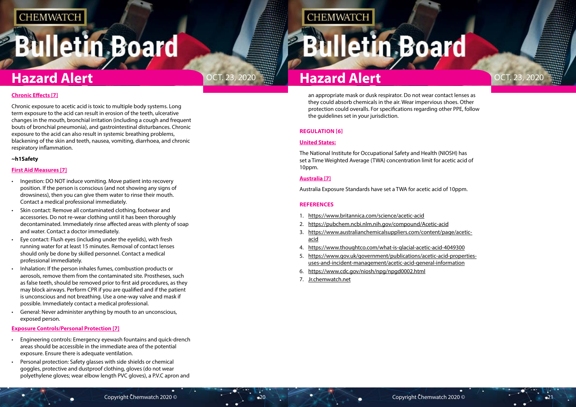# **Bulletin Board**





an appropriate mask or dusk respirator. Do not wear contact lenses as they could absorb chemicals in the air. Wear impervious shoes. Other protection could overalls. For specifications regarding other PPE, follow the guidelines set in your jurisdiction.

### **REGULATION [6]**

### **United States:**

The National Institute for Occupational Safety and Health (NIOSH) has set a Time Weighted Average (TWA) concentration limit for acetic acid of 10ppm.

### **Australia [7]**

Australia Exposure Standards have set a TWA for acetic acid of 10ppm.

### **REFERENCES**

- 1. <https://www.britannica.com/science/acetic-acid>
- 2. <https://pubchem.ncbi.nlm.nih.gov/compound/Acetic-acid>
- 3. [https://www.australianchemicalsuppliers.com/content/page/acetic](https://www.australianchemicalsuppliers.com/content/page/acetic-acid)[acid](https://www.australianchemicalsuppliers.com/content/page/acetic-acid)
- 4. <https://www.thoughtco.com/what-is-glacial-acetic-acid-4049300>
- 5. [https://www.gov.uk/government/publications/acetic-acid-properties](https://www.gov.uk/government/publications/acetic-acid-properties-uses-and-incident-management/acetic-acid-general-information)[uses-and-incident-management/acetic-acid-general-information](https://www.gov.uk/government/publications/acetic-acid-properties-uses-and-incident-management/acetic-acid-general-information)
- 6. <https://www.cdc.gov/niosh/npg/npgd0002.html>
- 7. [Jr.chemwatch.net](https://jr.chemwatch.ne/)

## **Chronic Effects [7]**

Chronic exposure to acetic acid is toxic to multiple body systems. Long term exposure to the acid can result in erosion of the teeth, ulcerative changes in the mouth, bronchial irritation (including a cough and frequent bouts of bronchial pneumonia), and gastrointestinal disturbances. Chronic exposure to the acid can also result in systemic breathing problems, blackening of the skin and teeth, nausea, vomiting, diarrhoea, and chronic respiratory inflammation.

### **~h1Safety**

### **First Aid Measures [7]**

- Ingestion: DO NOT induce vomiting. Move patient into recovery position. If the person is conscious (and not showing any signs of drowsiness), then you can give them water to rinse their mouth. Contact a medical professional immediately.
- Skin contact: Remove all contaminated clothing, footwear and accessories. Do not re-wear clothing until it has been thoroughly decontaminated. Immediately rinse affected areas with plenty of soap and water. Contact a doctor immediately.
- Eye contact: Flush eyes (including under the eyelids), with fresh running water for at least 15 minutes. Removal of contact lenses should only be done by skilled personnel. Contact a medical professional immediately.
- Inhalation: If the person inhales fumes, combustion products or aerosols, remove them from the contaminated site. Prostheses, such as false teeth, should be removed prior to first aid procedures, as they may block airways. Perform CPR if you are qualified and if the patient is unconscious and not breathing. Use a one-way valve and mask if possible. Immediately contact a medical professional.
- General: Never administer anything by mouth to an unconscious, exposed person.

### **Exposure Controls/Personal Protection [7]**

- Engineering controls: Emergency eyewash fountains and quick-drench areas should be accessible in the immediate area of the potential exposure. Ensure there is adequate ventilation.
- Personal protection: Safety glasses with side shields or chemical goggles, protective and dustproof clothing, gloves (do not wear polyethylene gloves; wear elbow length PVC gloves), a P.V.C apron and

## **CHEMWATCH**

# **Iletin Board**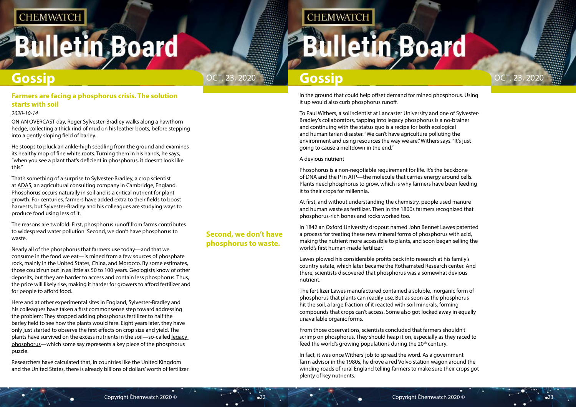# <span id="page-11-0"></span>**Bulletin Board**



## **Second, we don't have phosphorus to waste.**

## **CHEMWATCH**

# **Illetin Board**

## **Gossip**

in the ground that could help offset demand for mined phosphorus. Using it up would also curb phosphorus runoff.

To Paul Withers, a soil scientist at Lancaster University and one of Sylvester-Bradley's collaborators, tapping into legacy phosphorus is a no-brainer and continuing with the status quo is a recipe for both ecological and humanitarian disaster. "We can't have agriculture polluting the environment and using resources the way we are," Withers says. "It's just going to cause a meltdown in the end."

A devious nutrient

Phosphorus is a non-negotiable requirement for life. It's the backbone of DNA and the P in ATP—the molecule that carries energy around cells. Plants need phosphorus to grow, which is why farmers have been feeding it to their crops for millennia.

From those observations, scientists concluded that farmers shouldn't scrimp on phosphorus. They should heap it on, especially as they raced to feed the world's growing populations during the  $20<sup>th</sup>$  century.

At first, and without understanding the chemistry, people used manure and human waste as fertilizer. Then in the 1800s farmers recognized that phosphorus-rich bones and rocks worked too.

In 1842 an Oxford University dropout named John Bennet Lawes patented a process for treating these new mineral forms of phosphorus with acid, making the nutrient more accessible to plants, and soon began selling the world's first human-made fertilizer.

Lawes plowed his considerable profits back into research at his family's country estate, which later became the Rothamsted Research center. And there, scientists discovered that phosphorus was a somewhat devious nutrient.

The fertilizer Lawes manufactured contained a soluble, inorganic form of phosphorus that plants can readily use. But as soon as the phosphorus hit the soil, a large fraction of it reacted with soil minerals, forming compounds that crops can't access. Some also got locked away in equally unavailable organic forms.

In fact, it was once Withers' job to spread the word. As a government farm advisor in the 1980s, he drove a red Volvo station wagon around the winding roads of rural England telling farmers to make sure their crops got plenty of key nutrients.

## **Farmers are facing a phosphorus crisis. The solution starts with soil**

## *2020-10-14*

ON AN OVERCAST day, Roger Sylvester-Bradley walks along a hawthorn hedge, collecting a thick rind of mud on his leather boots, before stepping into a gently sloping field of barley.

He stoops to pluck an ankle-high seedling from the ground and examines its healthy mop of fine white roots. Turning them in his hands, he says, "when you see a plant that's deficient in phosphorus, it doesn't look like this."

That's something of a surprise to Sylvester-Bradley, a crop scientist at [ADAS,](https://www.adas.uk/) an agricultural consulting company in Cambridge, England. Phosphorus occurs naturally in soil and is a critical nutrient for plant growth. For centuries, farmers have added extra to their fields to boost harvests, but Sylvester-Bradley and his colleagues are studying ways to produce food using less of it.

The reasons are twofold: First, phosphorus runoff from farms contributes to widespread water pollution. Second, we don't have phosphorus to waste.

Nearly all of the phosphorus that farmers use today—and that we consume in the food we eat—is mined from a few sources of phosphate rock, mainly in the United States, China, and Morocco. By some estimates, those could run out in as little as [50 to 100 years.](https://www.sciencedirect.com/science/article/abs/pii/S095937800800099X) Geologists know of other deposits, but they are harder to access and contain less phosphorus. Thus, the price will likely rise, making it harder for growers to afford fertilizer and for people to afford food.

Here and at other experimental sites in England, Sylvester-Bradley and his colleagues have taken a first commonsense step toward addressing the problem: They stopped adding phosphorus fertilizer to half the barley field to see how the plants would fare. Eight years later, they have only just started to observe the first effects on crop size and yield. The plants have survived on the excess nutrients in the soil—so-called [legacy](https://link.springer.com/article/10.1007/s10705-015-9726-1)  [phosphorus](https://link.springer.com/article/10.1007/s10705-015-9726-1)—which some say represents a key piece of the phosphorus puzzle.

Researchers have calculated that, in countries like the United Kingdom and the United States, there is already billions of dollars' worth of fertilizer

# **Gossip**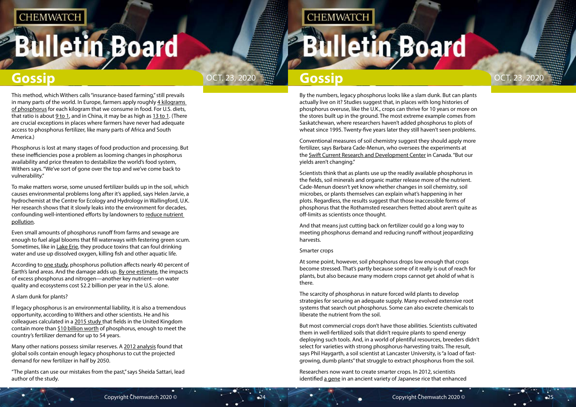# **Illetin Board**

By the numbers, legacy phosphorus looks like a slam dunk. But can plants actually live on it? Studies suggest that, in places with long histories of phosphorus overuse, like the U.K., crops can thrive for 10 years or more on the stores built up in the ground. The most extreme example comes from Saskatchewan, where researchers haven't added phosphorus to plots of wheat since 1995. Twenty-five years later they still haven't seen problems.

Conventional measures of soil chemistry suggest they should apply more fertilizer, says Barbara Cade-Menun, who oversees the experiments at the [Swift Current Research and Development Center](http://www.agr.gc.ca/eng/scientific-collaboration-and-research-in-agriculture/agriculture-and-agri-food-research-centres-and-collections/saskatchewan/swift-current-research-and-development-centre/?id=1180634963149) in Canada. "But our yields aren't changing."

Scientists think that as plants use up the readily available phosphorus in the fields, soil minerals and organic matter release more of the nutrient. Cade-Menun doesn't yet know whether changes in soil chemistry, soil microbes, or plants themselves can explain what's happening in her plots. Regardless, the results suggest that those inaccessible forms of phosphorus that the Rothamsted researchers fretted about aren't quite as off-limits as scientists once thought.

Researchers now want to create smarter crops. In 2012, scientists identified [a gene](https://www.nature.com/articles/nature11346) in an ancient variety of Japanese rice that enhanced

And that means just cutting back on fertilizer could go a long way to meeting phosphorus demand and reducing runoff without jeopardizing harvests.

### Smarter crops

At some point, however, soil phosphorus drops low enough that crops become stressed. That's partly because some of it really is out of reach for plants, but also because many modern crops cannot get ahold of what is there.

The scarcity of phosphorus in nature forced wild plants to develop strategies for securing an adequate supply. Many evolved extensive root systems that search out phosphorus. Some can also excrete chemicals to liberate the nutrient from the soil.

According to [one study,](https://agupubs.onlinelibrary.wiley.com/doi/full/10.1002/2017WR020448) phosphorus pollution affects nearly 40 percent of Earth's land areas. And the damage adds up. [By one estimate](https://pubs.acs.org/doi/abs/10.1021/es801217q), the impacts of excess phosphorus and nitrogen—another key nutrient—on water quality and ecosystems cost \$2.2 billion per year in the U.S. alone.

> But most commercial crops don't have those abilities. Scientists cultivated them in well-fertilized soils that didn't require plants to spend energy deploying such tools. And, in a world of plentiful resources, breeders didn't select for varieties with strong phosphorus-harvesting traits. The result, says Phil Haygarth, a soil scientist at Lancaster University, is "a load of fastgrowing, dumb plants" that struggle to extract phosphorus from the soil.

This method, which Withers calls "insurance-based farming," still prevails in many parts of the world. In Europe, farmers apply roughly 4 kilograms [of phosphorus](https://www.sciencedirect.com/science/article/pii/S0048969715305519) for each kilogram that we consume in food. For U.S. diets, that ratio is about [9 to 1,](https://iopscience.iop.org/article/10.1088/1748-9326/7/4/044024/meta) and in China, it may be as high as [13 to 1.](https://acsess.onlinelibrary.wiley.com/doi/abs/10.2134/jeq2009.0403) (There are crucial exceptions in places where farmers have never had adequate access to phosphorus fertilizer, like many parts of Africa and South America.)

Phosphorus is lost at many stages of food production and processing. But these inefficiencies pose a problem as looming changes in phosphorus availability and price threaten to destabilize the world's food system, Withers says. "We've sort of gone over the top and we've come back to vulnerability."

To make matters worse, some unused fertilizer builds up in the soil, which causes environmental problems long after it's applied, says Helen Jarvie, a hydrochemist at the Centre for Ecology and Hydrology in Wallingford, U.K. Her research shows that it slowly leaks into the environment for decades, confounding well-intentioned efforts by landowners to [reduce nutrient](https://pubs.acs.org/doi/abs/10.1021/es403160a)  [pollution.](https://pubs.acs.org/doi/abs/10.1021/es403160a)

Even small amounts of phosphorus runoff from farms and sewage are enough to fuel algal blooms that fill waterways with festering green scum. Sometimes, like in [Lake Erie](http://lakeeriealgae.com/), they produce toxins that can foul drinking water and use up dissolved oxygen, killing fish and other aquatic life.

### A slam dunk for plants?

If legacy phosphorus is an environmental liability, it is also a tremendous opportunity, according to Withers and other scientists. He and his colleagues calculated in a [2015 study](https://link.springer.com/article/10.1007/s10705-015-9726-1) that fields in the United Kingdom contain more than [\\$10 billion worth](https://pubs.acs.org/doi/10.1021/es501670j) of phosphorus, enough to meet the country's fertilizer demand for up to 54 years.

Many other nations possess similar reserves. A [2012 analysis](https://www.pnas.org/content/109/16/6348.short) found that global soils contain enough legacy phosphorus to cut the projected demand for new fertilizer in half by 2050.

"The plants can use our mistakes from the past," says Sheida Sattari, lead author of the study.

## **CHEMWATCH**

# lletin Board

# **Gossip Gossip Cossic Cossic Cossic Cossic Cossic Cossip Cossic Cossic Cossic Cossic Cossic Cossic Cossic Cossi**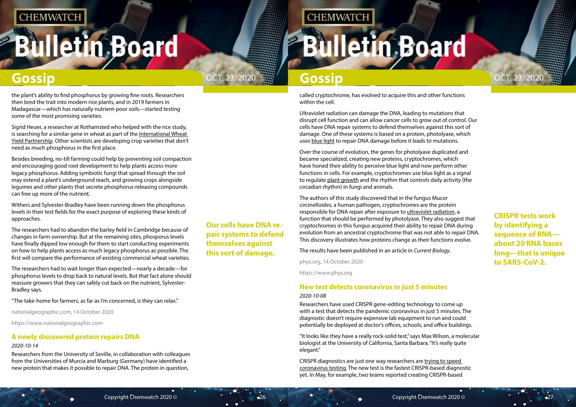# <span id="page-13-0"></span>**Bulletin Board**



**CRISPR tests work by identifying a sequence of RNA about 20 RNA bases long—that is unique to SARS-CoV-2.**

## **Our cells have DNA repair systems to defend themselves against this sort of damage.**

## **CHEMWATCH**

# **Illetin Board**

# **Gossip Gossip**

called cryptochrome, has evolved to acquire this and other functions within the cell.

Ultraviolet radiation can damage the DNA, leading to mutations that disrupt cell function and can allow cancer cells to grow out of control. Our cells have DNA repair systems to defend themselves against this sort of damage. One of these systems is based on a protein, photolyase, which uses [blue light](https://phys.org/tags/blue+light/) to repair DNA damage before it leads to mutations.

Over the course of evolution, the genes for photolyase duplicated and became specialized, creating new proteins, cryptochromes, which have honed their ability to perceive blue light and now perform other functions in cells. For example, cryptochromes use blue light as a signal to regulate [plant growth](https://phys.org/tags/plant+growth/) and the rhythm that controls daily activity (the circadian rhythm) in fungi and animals.

The authors of this study discovered that in the fungus Mucor circinelloides, a human pathogen, cryptochromes are the protein responsible for DNA repair after exposure to [ultraviolet radiation,](https://phys.org/tags/ultraviolet+radiation/) a function that should be performed by photolyase. They also suggest that cryptochromes in this fungus acquired their ability to repair DNA during evolution from an ancestral cryptochrome that was not able to repair DNA. This discovery illustrates how proteins change as their functions evolve.

The results have been published in an article in *Current Biology*.

phys.org, 14 October 2020

https://www.phys.org

## **New test detects coronavirus in just 5 minutes** *2020-10-08*

Researchers have used CRISPR gene-editing technology to come up with a test that detects the pandemic coronavirus in just 5 minutes. The diagnostic doesn't require expensive lab equipment to run and could potentially be deployed at doctor's offices, schools, and office buildings.

"It looks like they have a really rock-solid test," says Max Wilson, a molecular biologist at the University of California, Santa Barbara. "It's really quite elegant."

CRISPR diagnostics are just one way researchers are [trying to speed](https://www.sciencemag.org/news/2020/03/standard-coronavirus-test-if-available-works-well-can-new-diagnostics-help-pandemic)  [coronavirus testing.](https://www.sciencemag.org/news/2020/03/standard-coronavirus-test-if-available-works-well-can-new-diagnostics-help-pandemic) The new test is the fastest CRISPR-based diagnostic yet. In May, for example, two teams reported creating CRISPR-based

the plant's ability to find phosphorus by growing fine roots. Researchers then bred the trait into modern rice plants, and in 2019 farmers in Madagascar—which has naturally nutrient-poor soils—started testing some of the most promising varieties.

Sigrid Heuer, a researcher at Rothamsted who helped with the rice study, is searching for a similar gene in wheat as part of the International Wheat [Yield Partnership.](https://iwyp.org/) Other scientists are developing crop varieties that don't need as much phosphorus in the first place.

Besides breeding, no-till farming could help by preventing soil compaction and encouraging good root development to help plants access more legacy phosphorus. Adding symbiotic fungi that spread through the soil may extend a plant's underground reach, and growing crops alongside legumes and other plants that secrete phosphorus-releasing compounds can free up more of the nutrient.

Withers and Sylvester-Bradley have been running down the phosphorus levels in their test fields for the exact purpose of exploring these kinds of approaches.

The researchers had to abandon the barley field in Cambridge because of changes in farm ownership. But at the remaining sites, phosporus levels have finally dipped low enough for them to start conducting experiments on how to help plants access as much legacy phosphorus as possible. The first will compare the performance of existing commercial wheat varieties.

The researchers had to wait longer than expected—nearly a decade—for phosphorus levels to drop back to natural levels. But that fact alone should reassure growers that they can safely cut back on the nutrient, Sylvester-Bradley says.

"The take-home for farmers, as far as I'm concerned, is they can relax."

nationalgeographic.com, 14 October 2020

https://www.nationalgeographic.com

## **A newly discovered protein repairs DNA**

## *2020-10-14*

Researchers from the University of Seville, in collaboration with colleagues from the Universities of Murcia and Marburg (Germany) have identified a new protein that makes it possible to repair DNA. The protein in question,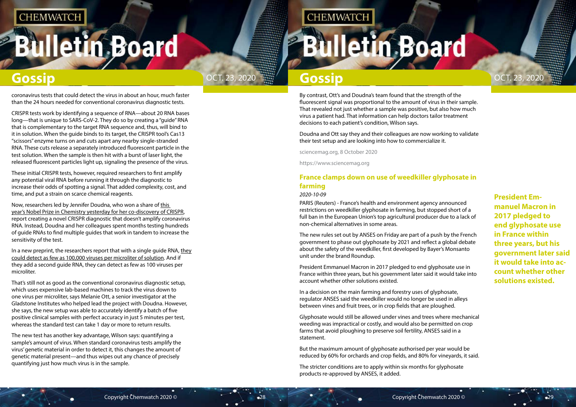# <span id="page-14-0"></span>**Bulletin Board**



**President Emmanuel Macron in 2017 pledged to end glyphosate use in France within three years, but his government later said it would take into account whether other solutions existed.**

By contrast, Ott's and Doudna's team found that the strength of the fluorescent signal was proportional to the amount of virus in their sample. That revealed not just whether a sample was positive, but also how much virus a patient had. That information can help doctors tailor treatment decisions to each patient's condition, Wilson says.

Doudna and Ott say they and their colleagues are now working to validate their test setup and are looking into how to commercialize it.

sciencemag.org, 8 October 2020

https://www.sciencemag.org

## **France clamps down on use of weedkiller glyphosate in farming**

### *2020-10-09*

PARIS (Reuters) - France's health and environment agency announced restrictions on weedkiller glyphosate in farming, but stopped short of a full ban in the European Union's top agricultural producer due to a lack of non-chemical alternatives in some areas.

The new rules set out by ANSES on Friday are part of a push by the French government to phase out glyphosate by 2021 and reflect a global debate about the safety of the weedkiller, first developed by Bayer's Monsanto unit under the brand Roundup.

President Emmanuel Macron in 2017 pledged to end glyphosate use in France within three years, but his government later said it would take into account whether other solutions existed.

In a decision on the main farming and forestry uses of glyphosate, regulator ANSES said the weedkiller would no longer be used in alleys between vines and fruit trees, or in crop fields that are ploughed.

Glyphosate would still be allowed under vines and trees where mechanical weeding was impractical or costly, and would also be permitted on crop farms that avoid ploughing to preserve soil fertility, ANSES said in a statement.

In a new preprint, the researchers report that with a single guide RNA, they [could detect as few as 100,000 viruses per microliter of solution.](https://www.medrxiv.org/content/10.1101/2020.09.28.20201947v1) And if they add a second guide RNA, they can detect as few as 100 viruses per microliter.

> But the maximum amount of glyphosate authorised per year would be reduced by 60% for orchards and crop fields, and 80% for vineyards, it said.

The stricter conditions are to apply within six months for glyphosate products re-approved by ANSES, it added.

coronavirus tests that could detect the virus in about an hour, much faster than the 24 hours needed for conventional coronavirus diagnostic tests.

CRISPR tests work by identifying a sequence of RNA—about 20 RNA bases long—that is unique to SARS-CoV-2. They do so by creating a "guide" RNA that is complementary to the target RNA sequence and, thus, will bind to it in solution. When the guide binds to its target, the CRISPR tool's Cas13 "scissors" enzyme turns on and cuts apart any nearby single-stranded RNA. These cuts release a separately introduced fluorescent particle in the test solution. When the sample is then hit with a burst of laser light, the released fluorescent particles light up, signaling the presence of the virus.

These initial CRISPR tests, however, required researchers to first amplify any potential viral RNA before running it through the diagnostic to increase their odds of spotting a signal. That added complexity, cost, and time, and put a strain on scarce chemical reagents.

Now, researchers led by Jennifer Doudna, who won a share of [this](http://www.sciencemag.org/news/2020/10/crispr-revolutionary-genetic-scissors-honored-chemistry-nobel)  [year's Nobel Prize in Chemistry yesterday for her co-discovery of CRISPR](http://www.sciencemag.org/news/2020/10/crispr-revolutionary-genetic-scissors-honored-chemistry-nobel), report creating a novel CRISPR diagnostic that doesn't amplify coronavirus RNA. Instead, Doudna and her colleagues spent months testing hundreds of guide RNAs to find multiple guides that work in tandem to increase the sensitivity of the test.

That's still not as good as the conventional coronavirus diagnostic setup, which uses expensive lab-based machines to track the virus down to one virus per microliter, says Melanie Ott, a senior investigator at the Gladstone Institutes who helped lead the project with Doudna. However, she says, the new setup was able to accurately identify a batch of five positive clinical samples with perfect accuracy in just 5 minutes per test, whereas the standard test can take 1 day or more to return results.

The new test has another key advantage, Wilson says: quantifying a sample's amount of virus. When standard coronavirus tests amplify the virus' genetic material in order to detect it, this changes the amount of genetic material present—and thus wipes out any chance of precisely quantifying just how much virus is in the sample.

## **CHEMWATCH**

# **Illetin Board**

## **Gossip Gossip Gossip Gossip Gossip**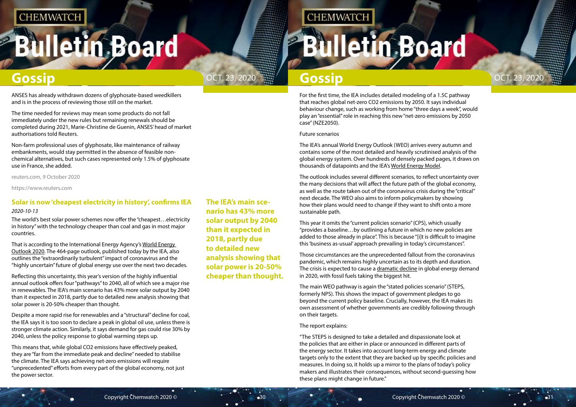# <span id="page-15-0"></span>**Illetin Board**



**The IEA's main scenario has 43% more solar output by 2040 than it expected in 2018, partly due to detailed new analysis showing that solar power is 20-50% cheaper than thought.**

**CHEMWATCH** 

## **Gossip Gossip Gossip Gossip Gossip**

For the first time, the IEA includes detailed modeling of a 1.5C pathway that reaches global net-zero CO2 emissions by 2050. It says individual behaviour change, such as working from home "three days a week", would play an "essential" role in reaching this new "net-zero emissions by 2050 case" (NZE2050).

Future scenarios

The IEA's annual World Energy Outlook (WEO) arrives every autumn and contains some of the most detailed and heavily scrutinised analysis of the global energy system. Over hundreds of densely packed pages, it draws on thousands of datapoints and the IEA's [World Energy Model.](https://www.iea.org/weo/weomodel/)

The outlook includes several different scenarios, to reflect uncertainty over the many decisions that will affect the future path of the global economy, as well as the route taken out of the coronavirus crisis during the "critical" next decade. The WEO also aims to inform policymakers by showing how their plans would need to change if they want to shift onto a more sustainable path.

This year it omits the "current policies scenario" (CPS), which usually "provides a baseline…by outlining a future in which no new policies are added to those already in place". This is because "[i]t is difficult to imagine this 'business as-usual' approach prevailing in today's circumstances".

Those circumstances are the unprecedented fallout from the coronavirus pandemic, which remains highly uncertain as to its depth and duration. The crisis is expected to cause a [dramatic decline](https://www.carbonbrief.org/iea-coronavirus-impact-on-co2-emissions-six-times-larger-than-financial-crisis) in global energy demand in 2020, with fossil fuels taking the biggest hit.

The main WEO pathway is again the "stated policies scenario" (STEPS, formerly NPS). This shows the impact of government pledges to go beyond the current policy baseline. Crucially, however, the IEA makes its own assessment of whether governments are credibly following through on their targets.

The report explains:

"The STEPS is designed to take a detailed and dispassionate look at the policies that are either in place or announced in different parts of the energy sector. It takes into account long-term energy and climate targets only to the extent that they are backed up by specific policies and measures. In doing so, it holds up a mirror to the plans of today's policy makers and illustrates their consequences, without second-guessing how these plans might change in future."

ANSES has already withdrawn dozens of glyphosate-based weedkillers and is in the process of reviewing those still on the market.

The time needed for reviews may mean some products do not fall immediately under the new rules but remaining renewals should be completed during 2021, Marie-Christine de Guenin, ANSES' head of market authorisations told Reuters.

Non-farm professional uses of glyphosate, like maintenance of railway embankments, would stay permitted in the absence of feasible nonchemical alternatives, but such cases represented only 1.5% of glyphosate use in France, she added.

reuters.com, 9 October 2020

https://www.reuters.com

## **Solar is now 'cheapest electricity in history', confirms IEA**

### *2020-10-13*

The world's best solar power schemes now offer the "cheapest…electricity in history" with the technology cheaper than coal and gas in most major countries.

That is according to the International Energy Agency's [World Energy](https://webstore.iea.org/world-energy-outlook-2020)  [Outlook 2020.](https://webstore.iea.org/world-energy-outlook-2020) The 464-page outlook, published today by the IEA, also outlines the "extraordinarily turbulent" impact of coronavirus and the "highly uncertain" future of global energy use over the next two decades.

Reflecting this uncertainty, this year's version of the highly influential annual outlook offers four "pathways" to 2040, all of which see a major rise in renewables. The IEA's main scenario has 43% more solar output by 2040 than it expected in 2018, partly due to detailed new analysis showing that solar power is 20-50% cheaper than thought.

Despite a more rapid rise for renewables and a "structural" decline for coal, the IEA says it is too soon to declare a peak in global oil use, unless there is stronger climate action. Similarly, it says demand for gas could rise 30% by 2040, unless the policy response to global warming steps up.

This means that, while global CO2 emissions have effectively peaked, they are "far from the immediate peak and decline" needed to stabilise the climate. The IEA says achieving net-zero emissions will require "unprecedented" efforts from every part of the global economy, not just the power sector.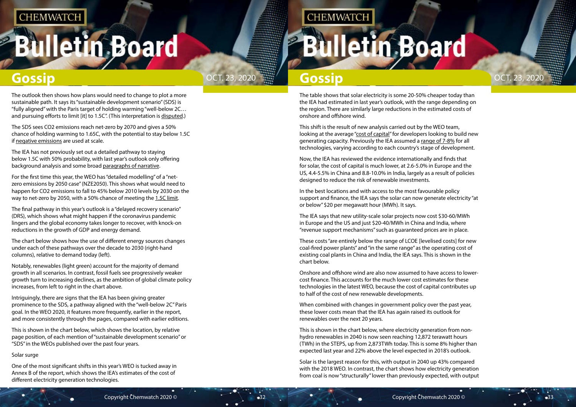# **Illetin Board**



The table shows that solar electricity is some 20-50% cheaper today than the IEA had estimated in last year's outlook, with the range depending on the region. There are similarly large reductions in the estimated costs of onshore and offshore wind.

This shift is the result of new analysis carried out by the WEO team, looking at the average ["cost of capital](https://www.iea.org/weo/weomodel/inputs/)" for developers looking to build new generating capacity. Previously the IEA assumed a [range of 7-8%](https://www.carbonbrief.org/profound-shifts-underway-in-energy-system-says-iea-world-energy-outlook) for all technologies, varying according to each country's stage of development.

Now, the IEA has reviewed the evidence internationally and finds that for solar, the cost of capital is much lower, at 2.6-5.0% in Europe and the US, 4.4-5.5% in China and 8.8-10.0% in India, largely as a result of policies designed to reduce the risk of renewable investments.

In the best locations and with access to the most favourable policy support and finance, the IEA says the solar can now generate electricity "at or below" \$20 per megawatt hour (MWh). It says.

The IEA says that new utility-scale solar projects now cost \$30-60/MWh in Europe and the US and just \$20-40/MWh in China and India, where "revenue support mechanisms" such as guaranteed prices are in place.

The outlook then shows how plans would need to change to plot a more sustainable path. It says its "sustainable development scenario" (SDS) is "fully aligned" with the Paris target of holding warming "well-below 2C… and pursuing efforts to limit [it] to 1.5C". (This interpretation is [disputed.](https://www.carbonbrief.org/profound-shifts-underway-in-energy-system-says-iea-world-energy-outlook))

> These costs "are entirely below the range of LCOE [levelised costs] for new coal-fired power plants" and "in the same range" as the operating cost of existing coal plants in China and India, the IEA says. This is shown in the chart below.

For the first time this year, the WEO has "detailed modelling" of a "netzero emissions by 2050 case" (NZE2050). This shows what would need to happen for CO2 emissions to fall to 45% below 2010 levels by 2030 on the way to net-zero by 2050, with a 50% chance of meeting the [1.5C limit.](https://www.carbonbrief.org/in-depth-qa-ipccs-special-report-on-climate-change-at-one-point-five-c)

> Onshore and offshore wind are also now assumed to have access to lowercost finance. This accounts for the much lower cost estimates for these technologies in the latest WEO, because the cost of capital contributes up to half of the cost of new renewable developments.

When combined with changes in government policy over the past year, these lower costs mean that the IEA has again raised its outlook for renewables over the next 20 years.

This is shown in the chart below, where electricity generation from nonhydro renewables in 2040 is now seen reaching 12,872 terawatt hours (TWh) in the STEPS, up from 2,873TWh today. This is some 8% higher than expected last year and 22% above the level expected in 2018's outlook.

Solar is the largest reason for this, with output in 2040 up 43% compared with the 2018 WEO. In contrast, the chart shows how electricity generation from coal is now "structurally" lower than previously expected, with output

The SDS sees CO2 emissions reach net-zero by 2070 and gives a 50% chance of holding warming to 1.65C, with the potential to stay below 1.5C if [negative emissions](https://www.carbonbrief.org/explainer-10-ways-negative-emissions-could-slow-climate-change) are used at scale.

The IEA has not previously set out a detailed pathway to staying below 1.5C with 50% probability, with last year's outlook only offering background analysis and some broad [paragraphs of narrative.](https://www.iea.org/commentaries/what-would-it-take-to-limit-the-global-temperature-rise-to-15c)

The final pathway in this year's outlook is a "delayed recovery scenario" (DRS), which shows what might happen if the coronavirus pandemic lingers and the global economy takes longer to recover, with knock-on reductions in the growth of GDP and energy demand.

The chart below shows how the use of different energy sources changes under each of these pathways over the decade to 2030 (right-hand columns), relative to demand today (left).

Notably, renewables (light green) account for the majority of demand growth in all scenarios. In contrast, fossil fuels see progressively weaker growth turn to increasing declines, as the ambition of global climate policy increases, from left to right in the chart above.

Intriguingly, there are signs that the IEA has been giving greater prominence to the SDS, a pathway aligned with the "well-below 2C" Paris goal. In the WEO 2020, it features more frequently, earlier in the report, and more consistently through the pages, compared with earlier editions.

This is shown in the chart below, which shows the location, by relative page position, of each mention of "sustainable development scenario" or "SDS" in the WEOs published over the past four years.

### Solar surge

One of the most significant shifts in this year's WEO is tucked away in Annex B of the report, which shows the IEA's estimates of the cost of different electricity generation technologies.

## **CHEMWATCH**

# **Iletin Board**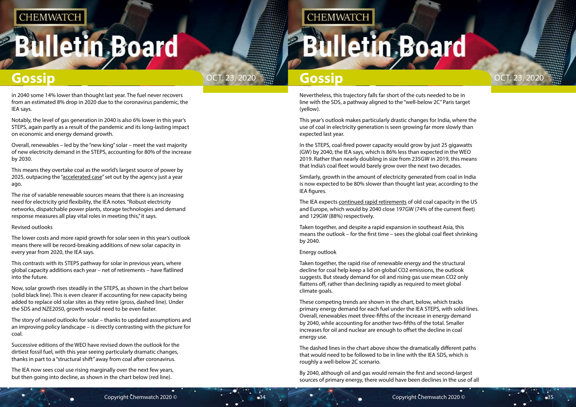# **Iletin Board**



Nevertheless, this trajectory falls far short of the cuts needed to be in line with the SDS, a pathway aligned to the "well-below 2C" Paris target (yellow).

This year's outlook makes particularly drastic changes for India, where the use of coal in electricity generation is seen growing far more slowly than expected last year.

In the STEPS, coal-fired power capacity would grow by just 25 gigawatts (GW) by 2040, the IEA says, which is 86% less than expected in the WEO 2019. Rather than nearly doubling in size from 235GW in 2019, this means that India's coal fleet would barely grow over the next two decades.

Similarly, growth in the amount of electricity generated from coal in India is now expected to be 80% slower than thought last year, according to the IEA figures.

The IEA expects [continued rapid retirements](https://www.carbonbrief.org/mapped-worlds-coal-power-plants) of old coal capacity in the US and Europe, which would by 2040 close 197GW (74% of the current fleet) and 129GW (88%) respectively.

Taken together, and despite a rapid expansion in southeast Asia, this means the outlook – for the first time – sees the global coal fleet shrinking by 2040.

### Energy outlook

Taken together, the rapid rise of renewable energy and the structural decline for coal help keep a lid on global CO2 emissions, the outlook suggests. But steady demand for oil and rising gas use mean CO2 only flattens off, rather than declining rapidly as required to meet global climate goals.

These competing trends are shown in the chart, below, which tracks primary energy demand for each fuel under the IEA STEPS, with solid lines. Overall, renewables meet three-fifths of the increase in energy demand by 2040, while accounting for another two-fifths of the total. Smaller increases for oil and nuclear are enough to offset the decline in coal energy use.

The dashed lines in the chart above show the dramatically different paths that would need to be followed to be in line with the IEA SDS, which is roughly a well-below 2C scenario.

By 2040, although oil and gas would remain the first and second-largest sources of primary energy, there would have been declines in the use of all

in 2040 some 14% lower than thought last year. The fuel never recovers from an estimated 8% drop in 2020 due to the coronavirus pandemic, the IEA says.

Notably, the level of gas generation in 2040 is also 6% lower in this year's STEPS, again partly as a result of the pandemic and its long-lasting impact on economic and energy demand growth.

Overall, renewables – led by the "new king" solar – meet the vast majority of new electricity demand in the STEPS, accounting for 80% of the increase by 2030.

This means they overtake coal as the world's largest source of power by 2025, outpacing the "[accelerated case](https://www.carbonbrief.org/analysis-renewables-could-match-coal-power-within-5-years-iea-reveals)" set out by the agency just a year ago.

The rise of variable renewable sources means that there is an increasing need for electricity grid flexibility, the IEA notes. "Robust electricity networks, dispatchable power plants, storage technologies and demand response measures all play vital roles in meeting this," it says.

### Revised outlooks

The lower costs and more rapid growth for solar seen in this year's outlook means there will be record-breaking additions of new solar capacity in every year from 2020, the IEA says.

This contrasts with its STEPS pathway for solar in previous years, where global capacity additions each year – net of retirements – have flatlined into the future.

Now, solar growth rises steadily in the STEPS, as shown in the chart below (solid black line). This is even clearer if accounting for new capacity being added to replace old solar sites as they retire (gross, dashed line). Under the SDS and NZE2050, growth would need to be even faster.

The story of raised outlooks for solar – thanks to updated assumptions and an improving policy landscape – is directly contrasting with the picture for coal.

Successive editions of the WEO have revised down the outlook for the dirtiest fossil fuel, with this year seeing particularly dramatic changes, thanks in part to a "structural shift" away from coal after coronavirus.

The IEA now sees coal use rising marginally over the next few years, but then going into decline, as shown in the chart below (red line).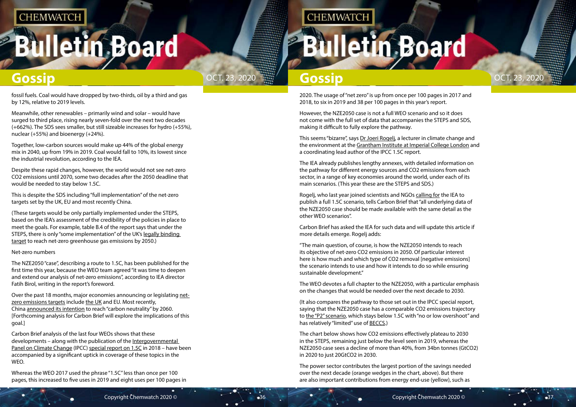# **Iletin Board**



2020. The usage of "net zero" is up from once per 100 pages in 2017 and 2018, to six in 2019 and 38 per 100 pages in this year's report.

This seems "bizarre", says [Dr Joeri Rogelj](https://www.imperial.ac.uk/people/j.rogelj), a lecturer in climate change and the environment at the [Grantham Institute at Imperial College London](https://www.imperial.ac.uk/grantham/) and a coordinating lead author of the IPCC 1.5C report.

However, the NZE2050 case is not a full WEO scenario and so it does not come with the full set of data that accompanies the STEPS and SDS, making it difficult to fully explore the pathway.

The IEA already publishes lengthy annexes, with detailed information on the pathway for different energy sources and CO2 emissions from each sector, in a range of key economies around the world, under each of its main scenarios. (This year these are the STEPS and SDS.)

Rogelj, who last year joined scientists and NGOs [calling for](https://www.iea.org/media/news/2019/JointletterIEAApril2019.pdf) the IEA to publish a full 1.5C scenario, tells Carbon Brief that "all underlying data of the NZE2050 case should be made available with the same detail as the other WEO scenarios".

Carbon Brief has asked the IEA for such data and will update this article if more details emerge. Rogelj adds:

"The main question, of course, is how the NZE2050 intends to reach its objective of net-zero CO2 emissions in 2050. Of particular interest here is how much and which type of CO2 removal [negative emissions] the scenario intends to use and how it intends to do so while ensuring sustainable development."

The WEO devotes a full chapter to the NZE2050, with a particular emphasis on the changes that would be needed over the next decade to 2030.

(It also compares the pathway to those set out in the IPCC special report, saying that the NZE2050 case has a comparable CO2 emissions trajectory to [the "P2" scenario,](https://www.carbonbrief.org/in-depth-qa-ipccs-special-report-on-climate-change-at-one-point-five-c) which stays below 1.5C with "no or low overshoot" and has relatively "limited" use of [BECCS.](https://www.carbonbrief.org/beccs-the-story-of-climate-changes-saviour-technology))

The chart below shows how CO2 emissions effectively plateau to 2030 in the STEPS, remaining just below the level seen in 2019, whereas the NZE2050 case sees a decline of more than 40%, from 34bn tonnes (GtCO2) in 2020 to just 20GtCO2 in 2030.

The power sector contributes the largest portion of the savings needed over the next decade (orange wedges in the chart, above). But there are also important contributions from energy end-use (yellow), such as

fossil fuels. Coal would have dropped by two-thirds, oil by a third and gas by 12%, relative to 2019 levels.

Meanwhile, other renewables – primarily wind and solar – would have surged to third place, rising nearly seven-fold over the next two decades (+662%). The SDS sees smaller, but still sizeable increases for hydro (+55%), nuclear (+55%) and bioenergy (+24%).

Together, low-carbon sources would make up 44% of the global energy mix in 2040, up from 19% in 2019. Coal would fall to 10%, its lowest since the industrial revolution, according to the IEA.

Despite these rapid changes, however, the world would not see net-zero CO2 emissions until 2070, some two decades after the 2050 deadline that would be needed to stay below 1.5C.

This is despite the SDS including "full implementation" of the net-zero targets set by the UK, EU and most recently China.

(These targets would be only partially implemented under the STEPS, based on the IEA's assessment of the credibility of the policies in place to meet the goals. For example, table B.4 of the report says that under the STEPS, there is only "some implementation" of the UK's [legally binding](https://www.carbonbrief.org/in-depth-qa-the-uk-becomes-first-major-economy-to-set-net-zero-climate-goal)  [target](https://www.carbonbrief.org/in-depth-qa-the-uk-becomes-first-major-economy-to-set-net-zero-climate-goal) to reach net-zero greenhouse gas emissions by 2050.)

### Net-zero numbers

The NZE2050 "case", describing a route to 1.5C, has been published for the first time this year, because the WEO team agreed "it was time to deepen and extend our analysis of net-zero emissions", according to IEA director Fatih Birol, writing in the report's foreword.

Over the past 18 months, major economies announcing or legislating [net](https://eciu.net/netzerotracker)[zero emissions targets](https://eciu.net/netzerotracker) include [the UK](https://www.carbonbrief.org/in-depth-qa-the-uk-becomes-first-major-economy-to-set-net-zero-climate-goal) and EU. Most recently, China [announced its intention](https://www.climatechangenews.com/2020/09/22/xi-jinping-china-will-achieve-carbon-neutrality-2060/) to reach "carbon neutrality" by 2060. [Forthcoming analysis for Carbon Brief will explore the implications of this goal.]

Carbon Brief analysis of the last four WEOs shows that these developments – along with the publication of the [Intergovernmental](https://www.ipcc.ch/)  [Panel on Climate Change](https://www.ipcc.ch/) (IPCC) [special report on 1.5C](https://www.carbonbrief.org/in-depth-qa-ipccs-special-report-on-climate-change-at-one-point-five-c) in 2018 – have been accompanied by a significant uptick in coverage of these topics in the WEO.

Whereas the WEO 2017 used the phrase "1.5C" less than once per 100 pages, this increased to five uses in 2019 and eight uses per 100 pages in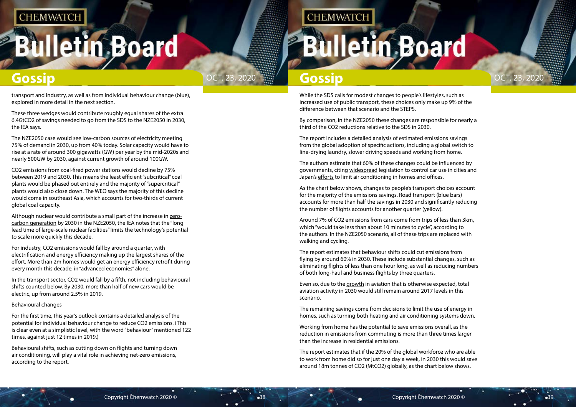# **Iletin Board**



While the SDS calls for modest changes to people's lifestyles, such as increased use of public transport, these choices only make up 9% of the difference between that scenario and the STEPS.

By comparison, in the NZE2050 these changes are responsible for nearly a third of the CO2 reductions relative to the SDS in 2030.

The report includes a detailed analysis of estimated emissions savings from the global adoption of specific actions, including a global switch to line-drying laundry, slower driving speeds and working from home.

The authors estimate that 60% of these changes could be influenced by governments, citing [widespread](https://www.businessinsider.com/cities-going-car-free-ban-2017-8?r=US&IR=T) legislation to control car use in cities and Japan's [efforts](https://english.kyodonews.net/news/2017/05/81055b2c81ab-japan-begins-annual-cool-biz-casual-wear-campaign.html) to limit air conditioning in homes and offices.

As the chart below shows, changes to people's transport choices account for the majority of the emissions savings. Road transport (blue bars) accounts for more than half the savings in 2030 and significantly reducing the number of flights accounts for another quarter (yellow).

Around 7% of CO2 emissions from cars come from trips of less than 3km, which "would take less than about 10 minutes to cycle", according to the authors. In the NZE2050 scenario, all of these trips are replaced with walking and cycling.

The report estimates that behaviour shifts could cut emissions from flying by around 60% in 2030. These include substantial changes, such as eliminating flights of less than one hour long, as well as reducing numbers of both long-haul and business flights by three quarters.

Even so, due to the [growth](https://www.carbonbrief.org/aviation-consume-quarter-carbon-budget) in aviation that is otherwise expected, total aviation activity in 2030 would still remain around 2017 levels in this scenario.

The remaining savings come from decisions to limit the use of energy in homes, such as turning both heating and air conditioning systems down.

Working from home has the potential to save emissions overall, as the reduction in emissions from commuting is more than three times larger than the increase in residential emissions.

The report estimates that if the 20% of the global workforce who are able to work from home did so for just one day a week, in 2030 this would save around 18m tonnes of CO2 (MtCO2) globally, as the chart below shows.

transport and industry, as well as from individual behaviour change (blue), explored in more detail in the next section.

These three wedges would contribute roughly equal shares of the extra 6.4GtCO2 of savings needed to go from the SDS to the NZE2050 in 2030, the IEA says.

The NZE2050 case would see low-carbon sources of electricity meeting 75% of demand in 2030, up from 40% today. Solar capacity would have to rise at a rate of around 300 gigawatts (GW) per year by the mid-2020s and nearly 500GW by 2030, against current growth of around 100GW.

CO2 emissions from coal-fired power stations would decline by 75% between 2019 and 2030. This means the least efficient "subcritical" coal plants would be phased out entirely and the majority of "supercritical" plants would also close down. The WEO says the majority of this decline would come in southeast Asia, which accounts for two-thirds of current global coal capacity.

Although nuclear would contribute a small part of the increase in [zero](https://www.carbonbrief.org/solar-wind-nuclear-amazingly-low-carbon-footprints)[carbon generation](https://www.carbonbrief.org/solar-wind-nuclear-amazingly-low-carbon-footprints) by 2030 in the NZE2050, the IEA notes that the "long lead time of large-scale nuclear facilities" limits the technology's potential to scale more quickly this decade.

For industry, CO2 emissions would fall by around a quarter, with electrification and energy efficiency making up the largest shares of the effort. More than 2m homes would get an energy efficiency retrofit during every month this decade, in "advanced economies" alone.

In the transport sector, CO2 would fall by a fifth, not including behavioural shifts counted below. By 2030, more than half of new cars would be electric, up from around 2.5% in 2019.

### Behavioural changes

For the first time, this year's outlook contains a detailed analysis of the potential for individual behaviour change to reduce CO2 emissions. (This is clear even at a simplistic level, with the word "behaviour" mentioned 122 times, against just 12 times in 2019.)

Behavioural shifts, such as cutting down on flights and turning down air conditioning, will play a vital role in achieving net-zero emissions, according to the report.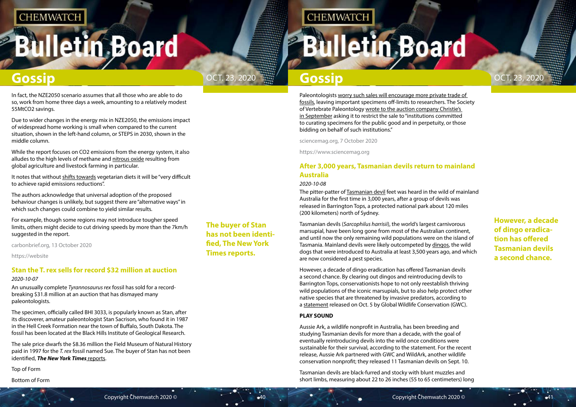# <span id="page-20-0"></span>**Bulletin Board**



**However, a decade of dingo eradication has offered Tasmanian devils a second chance.**

## **The buyer of Stan has not been identified, The New York Times reports.**

# **Gossip Gossip Gossip Gossip Gossip**

Paleontologists [worry such sales will encourage more private trade of](https://www.sciencemag.org/news/2018/06/allosaurus-auction-block)  [fossils,](https://www.sciencemag.org/news/2018/06/allosaurus-auction-block) leaving important specimens off-limits to researchers. The Society of Vertebrate Paleontology [wrote to the auction company Christie's](http://vertpaleo.org/Society-News/SVP-Paleo-News/Society-News,-Press-Releases/Auction-of-T-rex-Stan.aspx)  [in September](http://vertpaleo.org/Society-News/SVP-Paleo-News/Society-News,-Press-Releases/Auction-of-T-rex-Stan.aspx) asking it to restrict the sale to "institutions committed to curating specimens for the public good and in perpetuity, or those bidding on behalf of such institutions."

sciencemag.org, 7 October 2020

**CHEMWATCH** 

https://www.sciencemag.org

## **After 3,000 years, Tasmanian devils return to mainland Australia**

## *2020-10-08*

The pitter-patter of [Tasmanian devil](https://www.livescience.com/27440-tasmanian-devils.html) feet was heard in the wild of mainland Australia for the first time in 3,000 years, after a group of devils was released in Barrington Tops, a protected national park about 120 miles (200 kilometers) north of Sydney.

Tasmanian devils (*Sarcophilus harrisii*), the world's largest carnivorous marsupial, have been long gone from most of the Australian continent, and until now the only remaining wild populations were on the island of Tasmania. Mainland devils were likely outcompeted by [dingos,](https://www.livescience.com/52594-dingo.html) the wild dogs that were introduced to Australia at least 3,500 years ago, and which are now considered a pest species.

However, a decade of dingo eradication has offered Tasmanian devils a second chance. By clearing out dingos and reintroducing devils to Barrington Tops, conservationists hope to not only reestablish thriving wild populations of the iconic marsupials, but to also help protect other native species that are threatened by invasive predators, according to a [statement](https://www.globalwildlife.org/press/tasmanian-devils-return-to-mainland-australia-for-first-time-in-3000-years/) released on Oct. 5 by Global Wildlife Conservation (GWC).

## **PLAY SOUND**

Aussie Ark, a wildlife nonprofit in Australia, has been breeding and studying Tasmanian devils for more than a decade, with the goal of eventually reintroducing devils into the wild once conditions were sustainable for their survival, according to the statement. For the recent release, Aussie Ark partnered with GWC and WildArk, another wildlife conservation nonprofit; they released 11 Tasmanian devils on Sept. 10.

Tasmanian devils are black-furred and stocky with blunt muzzles and short limbs, measuring about 22 to 26 inches (55 to 65 centimeters) long

In fact, the NZE2050 scenario assumes that all those who are able to do so, work from home three days a week, amounting to a relatively modest 55MtCO2 savings.

Due to wider changes in the energy mix in NZE2050, the emissions impact of widespread home working is small when compared to the current situation, shown in the left-hand column, or STEPS in 2030, shown in the middle column.

While the report focuses on CO2 emissions from the energy system, it also alludes to the high levels of methane and [nitrous oxide](https://www.carbonbrief.org/nitrogen-fertiliser-use-could-threaten-global-climate-goals) resulting from global agriculture and livestock farming in particular.

It notes that without [shifts towards](https://www.carbonbrief.org/in-depth-qa-what-does-the-global-shift-in-diets-mean-for-climate-change) vegetarian diets it will be "very difficult to achieve rapid emissions reductions".

The authors acknowledge that universal adoption of the proposed behaviour changes is unlikely, but suggest there are "alternative ways" in which such changes could combine to yield similar results.

For example, though some regions may not introduce tougher speed limits, others might decide to cut driving speeds by more than the 7km/h suggested in the report.

carbonbrief.org, 13 October 2020

https://website

## **Stan the T. rex sells for record \$32 million at auction**

## *2020-10-07*

An unusually complete *Tyrannosaurus rex* fossil has sold for a recordbreaking \$31.8 million at an auction that has dismayed many paleontologists.

The specimen, officially called BHI 3033, is popularly known as Stan, after its discoverer, amateur paleontologist Stan Sacrison, who found it in 1987 in the Hell Creek Formation near the town of Buffalo, South Dakota. The fossil has been located at the Black Hills Institute of Geological Research.

The sale price dwarfs the \$8.36 million the Field Museum of Natural History paid in 1997 for the *T. rex* fossil named Sue. The buyer of Stan has not been identified, *[The New York Times](https://www.nytimes.com/2020/10/06/arts/design/t-rex-skeleton-brings-31-8-million-at-christies-auction.html)* reports.

Top of Form

Bottom of Form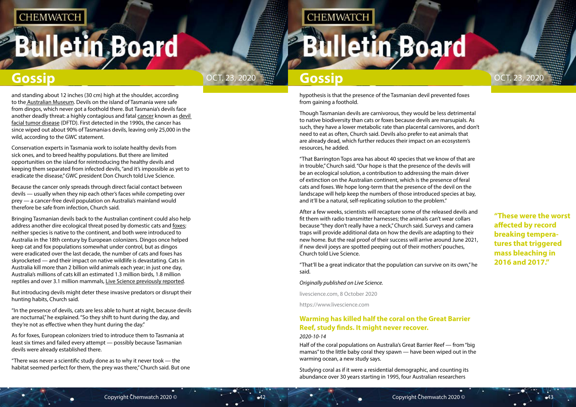# <span id="page-21-0"></span>**Illetin Board**



**"These were the worst affected by record breaking temperatures that triggered mass bleaching in 2016 and 2017."**

hypothesis is that the presence of the Tasmanian devil prevented foxes from gaining a foothold.

Though Tasmanian devils are carnivorous, they would be less detrimental to native biodiversity than cats or foxes because devils are marsupials. As such, they have a lower metabolic rate than placental carnivores, and don't need to eat as often, Church said. Devils also prefer to eat animals that are already dead, which further reduces their impact on an ecosystem's resources, he added.

"That Barrington Tops area has about 40 species that we know of that are in trouble," Church said. "Our hope is that the presence of the devils will be an ecological solution, a contribution to addressing the main driver of extinction on the Australian continent, which is the presence of feral cats and foxes. We hope long-term that the presence of the devil on the landscape will help keep the numbers of those introduced species at bay, and it'll be a natural, self-replicating solution to the problem."

After a few weeks, scientists will recapture some of the released devils and fit them with radio transmitter harnesses; the animals can't wear collars because "they don't really have a neck," Church said. Surveys and camera traps will provide additional data on how the devils are adapting to their new home. But the real proof of their success will arrive around June 2021, if new devil joeys are spotted peeping out of their mothers' pouches, Church told Live Science.

"That'll be a great indicator that the population can survive on its own," he said.

*Originally published on Live Science.*

livescience.com, 8 October 2020

https://www.livescience.com

## **Warming has killed half the coral on the Great Barrier Reef, study finds. It might never recover.** *2020-10-14*

Half of the coral populations on Australia's Great Barrier Reef — from "big mamas" to the little baby coral they spawn — have been wiped out in the warming ocean, a new study says.

Studying coral as if it were a residential demographic, and counting its abundance over 30 years starting in 1995, four Australian researchers

and standing about 12 inches (30 cm) high at the shoulder, according to the [Australian Museum.](https://australian.museum/learn/animals/mammals/tasmanian-devil/) Devils on the island of Tasmania were safe from dingos, which never got a foothold there. But Tasmania's devils face another deadly threat: a highly contagious and fatal [cancer](https://www.livescience.com/11041-10-deadliest-cancers-cure.html) known as [devil](https://www.livescience.com/27804-contagious-devil-tumor-disease.html)  [facial tumor disease](https://www.livescience.com/27804-contagious-devil-tumor-disease.html) (DFTD). First detected in the 1990s, the cancer has since wiped out about 90% of Tasmania›s devils, leaving only 25,000 in the wild, according to the GWC statement.

Conservation experts in Tasmania work to isolate healthy devils from sick ones, and to breed healthy populations. But there are limited opportunities on the island for reintroducing the healthy devils and keeping them separated from infected devils, "and it's impossible as yet to eradicate the disease," GWC president Don Church told Live Science.

Because the cancer only spreads through direct facial contact between devils — usually when they nip each other's faces while competing over prey — a cancer-free devil population on Australia's mainland would therefore be safe from infection, Church said.

Bringing Tasmanian devils back to the Australian continent could also help address another dire ecological threat posed by domestic cats and [foxes;](https://www.livescience.com/27168-foxes.html) neither species is native to the continent, and both were introduced to Australia in the 18th century by European colonizers. Dingos once helped keep cat and fox populations somewhat under control, but as dingos were eradicated over the last decade, the number of cats and foxes has skyrocketed — and their impact on native wildlife is devastating. Cats in Australia kill more than 2 billion wild animals each year; in just one day, Australia's millions of cats kill an estimated 1.3 million birds, 1.8 million reptiles and over 3.1 million mammals, [Live Science previously reported](https://www.livescience.com/65915-australia-cats-wildlife-killers.html).

But introducing devils might deter these invasive predators or disrupt their hunting habits, Church said.

"In the presence of devils, cats are less able to hunt at night, because devils are nocturnal," he explained. "So they shift to hunt during the day, and they're not as effective when they hunt during the day."

As for foxes, European colonizers tried to introduce them to Tasmania at least six times and failed every attempt — possibly because Tasmanian devils were already established there.

"There was never a scientific study done as to why it never took — the habitat seemed perfect for them, the prey was there," Church said. But one

## **CHEMWATCH**

# **Illetin Board**

## **Gossip Gossip Gossip Gossip Gossip**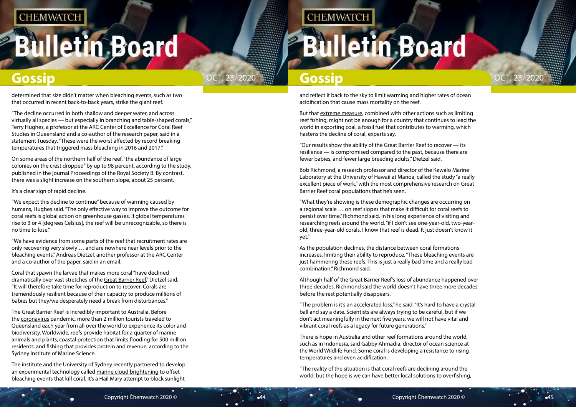# **Illetin Board**



and reflect it back to the sky to limit warming and higher rates of ocean acidification that cause mass mortality on the reef.

But that [extreme measure,](https://www.washingtonpost.com/graphics/2019/climate-solutions/amp-stories/scientists-save-coral-reefs-climate-change/?itid=lk_inline_manual_18) combined with other actions such as limiting reef fishing, might not be enough for a country that continues to lead the world in exporting coal, a fossil fuel that contributes to warming, which hastens the decline of coral, experts say.

"Our results show the ability of the Great Barrier Reef to recover — its resilience — is compromised compared to the past, because there are fewer babies, and fewer large breeding adults," Dietzel said.

Bob Richmond, a research professor and director of the Kewalo Marine Laboratory at the University of Hawaii at Manoa, called the study "a really excellent piece of work," with the most comprehensive research on Great Barrier Reef coral populations that he's seen.

"What they're showing is these demographic changes are occurring on a regional scale … on reef slopes that make it difficult for coral reefs to persist over time," Richmond said. In his long experience of visiting and researching reefs around the world, "if I don't see one-year-old, two-yearold, three-year-old corals, I know that reef is dead. It just doesn't know it yet."

As the population declines, the distance between coral formations increases, limiting their ability to reproduce. "These bleaching events are just hammering these reefs. This is just a really bad time and a really bad combination," Richmond said.

Although half of the Great Barrier Reef's loss of abundance happened over three decades, Richmond said the world doesn't have three more decades before the rest potentially disappears.

"The problem is it's an accelerated loss," he said. "It's hard to have a crystal ball and say a date. Scientists are always trying to be careful, but if we don't act meaningfully in the next five years, we will not have vital and vibrant coral reefs as a legacy for future generations."

There is hope in Australia and other reef formations around the world, such as in Indonesia, said Gabby Ahmadia, director of ocean science at the World Wildlife Fund. Some coral is developing a resistance to rising temperatures and even acidification.

"The reality of the situation is that coral reefs are declining around the world, but the hope is we can have better local solutions to overfishing,

determined that size didn't matter when bleaching events, such as two that occurred in recent back-to-back years, strike the giant reef.

"The decline occurred in both shallow and deeper water, and across virtually all species — but especially in branching and table-shaped corals," Terry Hughes, a professor at the ARC Center of Excellence for Coral Reef Studies in Queensland and a co-author of the research paper, said in a statement Tuesday. "These were the worst affected by record breaking temperatures that triggered mass bleaching in 2016 and 2017."

On some areas of the northern half of the reef, "the abundance of large colonies on the crest dropped" by up to 98 percent, according to the study, published in the journal Proceedings of the Royal Society B. By contrast, there was a slight increase on the southern slope, about 25 percent.

### It's a clear sign of rapid decline.

"We expect this decline to continue" because of warming caused by humans, Hughes said. "The only effective way to improve the outcome for coral reefs is global action on greenhouse gasses. If global temperatures rise to 3 or 4 [degrees Celsius], the reef will be unrecognizable, so there is no time to lose."

"We have evidence from some parts of the reef that recruitment rates are only recovering very slowly … and are nowhere near levels prior to the bleaching events," Andreas Dietzel, another professor at the ARC Center and a co-author of the paper, said in an email.

Coral that spawn the larvae that makes more coral "have declined dramatically over vast stretches of the [Great Barrier Reef,](https://www.washingtonpost.com/news/energy-environment/wp/2018/04/18/global-warming-has-changed-the-great-barrier-reef-forever-scientists-say/?itid=lk_inline_manual_13)" Dietzel said. "It will therefore take time for reproduction to recover. Corals are tremendously resilient because of their capacity to produce millions of babies but they/we desperately need a break from disturbances."

The Great Barrier Reef is incredibly important to Australia. Before the [coronavirus](https://www.washingtonpost.com/coronavirus/?itid=lk_inline_manual_16) pandemic, more than 2 million tourists traveled to Queensland each year from all over the world to experience its color and biodiversity. Worldwide, reefs provide habitat for a quarter of marine animals and plants, coastal protection that limits flooding for 500 million residents, and fishing that provides protein and revenue, according to the Sydney Institute of Marine Science.

The institute and the University of Sydney recently partnered to develop an experimental technology called [marine cloud brightening](https://www.savingthegreatbarrierreef.org/) to offset bleaching events that kill coral. It's a Hail Mary attempt to block sunlight

## **CHEMWATCH**

# **Iletin Board**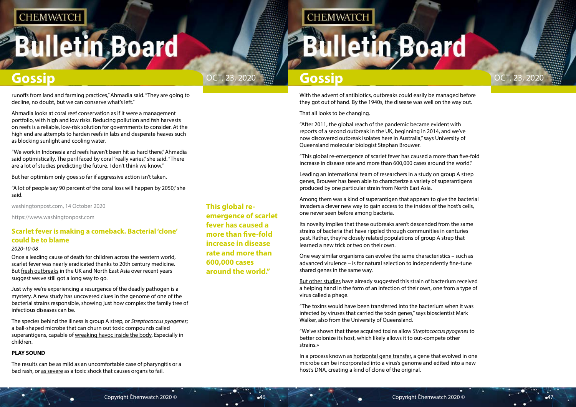# <span id="page-23-0"></span>**Bulletin Board**





## **This global reemergence of scarlet fever has caused a more than five-fold increase in disease rate and more than 600,000 cases around the world."**

## **CHEMWATCH**

# **Illetin Board**

## **Gossip Gossip Gossip Gossip Gossip**

With the advent of antibiotics, outbreaks could easily be managed before they got out of hand. By the 1940s, the disease was well on the way out.

That all looks to be changing.

"After 2011, the global reach of the pandemic became evident with reports of a second outbreak in the UK, beginning in 2014, and we've now discovered outbreak isolates here in Australia," [says](https://www.uq.edu.au/news/article/2020/10/supercharged-clones%E2%80%99-spark-scarlet-fever%E2%80%99s-re-emergence) University of Queensland molecular biologist Stephan Brouwer.

"This global re-emergence of scarlet fever has caused a more than five-fold increase in disease rate and more than 600,000 cases around the world."

Leading an international team of researchers in a study on group A strep genes, Brouwer has been able to characterize a variety of superantigens produced by one particular strain from North East Asia.

Among them was a kind of superantigen that appears to give the bacterial invaders a clever new way to gain access to the insides of the host's cells, one never seen before among bacteria.

Its novelty implies that these outbreaks aren't descended from the same strains of bacteria that have rippled through communities in centuries past. Rather, they're closely related populations of group A strep that learned a new trick or two on their own.

One way similar organisms can evolve the same characteristics – such as advanced virulence – is for natural selection to independently fine-tune shared genes in the same way.

[But other studies](https://pubmed.ncbi.nlm.nih.gov/26522788/) have already suggested this strain of bacterium received a helping hand in the form of an infection of their own, one from a type of virus called a phage.

"The toxins would have been transferred into the bacterium when it was infected by viruses that carried the toxin genes," [says](https://www.uq.edu.au/news/article/2020/10/supercharged-clones%E2%80%99-spark-scarlet-fever%E2%80%99s-re-emergence) bioscientist Mark Walker, also from the University of Queensland.

"We've shown that these acquired toxins allow *Streptococcus pyogenes* to better colonize its host, which likely allows it to out-compete other strains.»

In a process known as [horizontal gene transfer,](https://www.hindawi.com/journals/ijeb/2012/679045/) a gene that evolved in one microbe can be incorporated into a virus's genome and edited into a new host's DNA, creating a kind of clone of the original.

runoffs from land and farming practices," Ahmadia said. "They are going to decline, no doubt, but we can conserve what's left."

Ahmadia looks at coral reef conservation as if it were a management portfolio, with high and low risks. Reducing pollution and fish harvests on reefs is a reliable, low-risk solution for governments to consider. At the high end are attempts to harden reefs in labs and desperate heaves such as blocking sunlight and cooling water.

"We work in Indonesia and reefs haven't been hit as hard there," Ahmadia said optimistically. The peril faced by coral "really varies," she said. "There are a lot of studies predicting the future. I don't think we know."

But her optimism only goes so far if aggressive action isn't taken.

"A lot of people say 90 percent of the coral loss will happen by 2050," she said.

washingtonpost.com, 14 October 2020

https://www.washingtonpost.com

## **Scarlet fever is making a comeback. Bacterial 'clone' could be to blame**

## *2020-10-08*

Once a [leading cause of death](https://go.redirectingat.com/?id=92X1590019&xcust=livescience_au_1322525815717277000&xs=1&url=https%3A%2F%2Fwww.nature.com%2Farticles%2Fpr200425&sref=https%3A%2F%2Fwww.livescience.com%2Fbacterial-clone-scarlet-fever-comeback.html%3Futm_source%3DSelligent%26utm_medium%3Demail%26utm_campaign%3D9160%26utm_content%3DLVS_newsletter%2B%26utm_term%3D5348150%26m_i%3Dbj_%252BkMJaaFBY3fPP2OuMS17cvv3ar43wemI9wsXjYAL6GMclVxdjWyMacnckac4znc_sKKsu9Cz0Kx2uMdWiNNnm%252BAwHwLJLS5zGpirbbb) for children across the western world, scarlet fever was nearly eradicated thanks to 20th century medicine. But [fresh outbreaks](https://www.sciencealert.com/scarlet-fever-has-surged-in-the-uk-hitting-a-50-year-high) in the UK and North East Asia over recent years suggest we›ve still got a long way to go.

Just why we're experiencing a resurgence of the deadly pathogen is a mystery. A new study has uncovered clues in the genome of one of the bacterial strains responsible, showing just how complex the family tree of infectious diseases can be.

The species behind the illness is group A strep, or *Streptococcus pyogenes*; a ball-shaped microbe that can churn out toxic compounds called superantigens, capable of [wreaking havoc inside the body](https://www.ncbi.nlm.nih.gov/pmc/articles/PMC88944/). Especially in children.

## **PLAY SOUND**

[The results](https://www.ncbi.nlm.nih.gov/books/NBK507889/) can be as mild as an uncomfortable case of pharyngitis or a bad rash, or [as severe](https://www.cdc.gov/groupastrep/diseases-public/streptococcal-toxic-shock-syndrome.html) as a toxic shock that causes organs to fail.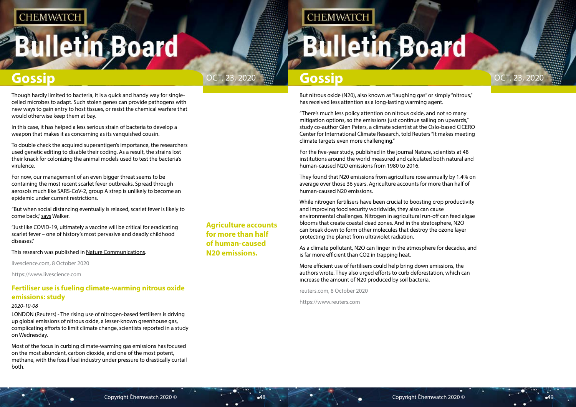# <span id="page-24-0"></span>**Illetin Board**





**Agriculture accounts for more than half of human-caused N20 emissions.**

## **CHEMWATCH**

# **lletin Board**

## **Gossip Gossip Gossip Gossip Gossip**

But nitrous oxide (N20), also known as "laughing gas" or simply "nitrous," has received less attention as a long-lasting warming agent.

"There's much less policy attention on nitrous oxide, and not so many mitigation options, so the emissions just continue sailing on upwards," study co-author Glen Peters, a climate scientist at the Oslo-based CICERO Center for International Climate Research, told Reuters "It makes meeting climate targets even more challenging."

For the five-year study, published in the journal Nature, scientists at 48 institutions around the world measured and calculated both natural and human-caused N2O emissions from 1980 to 2016.

They found that N20 emissions from agriculture rose annually by 1.4% on average over those 36 years. Agriculture accounts for more than half of human-caused N20 emissions.

While nitrogen fertilisers have been crucial to boosting crop productivity and improving food security worldwide, they also can cause environmental challenges. Nitrogen in agricultural run-off can feed algae blooms that create coastal dead zones. And in the stratosphere, N2O can break down to form other molecules that destroy the ozone layer protecting the planet from ultraviolet radiation.

"But when social distancing eventually is relaxed, scarlet fever is likely to come back," [says](https://www.uq.edu.au/news/article/2020/10/supercharged-clones%E2%80%99-spark-scarlet-fever%E2%80%99s-re-emergence) Walker.

> As a climate pollutant, N2O can linger in the atmosphere for decades, and is far more efficient than CO2 in trapping heat.

More efficient use of fertilisers could help bring down emissions, the authors wrote. They also urged efforts to curb deforestation, which can increase the amount of N20 produced by soil bacteria.

reuters.com, 8 October 2020

https://www.reuters.com

Though hardly limited to bacteria, it is a quick and handy way for singlecelled microbes to adapt. Such stolen genes can provide pathogens with new ways to gain entry to host tissues, or resist the chemical warfare that would otherwise keep them at bay.

In this case, it has helped a less serious strain of bacteria to develop a weapon that makes it as concerning as its vanquished cousin.

To double check the acquired superantigen's importance, the researchers used genetic editing to disable their coding. As a result, the strains lost their knack for colonizing the animal models used to test the bacteria's virulence.

For now, our management of an even bigger threat seems to be containing the most recent scarlet fever outbreaks. Spread through aerosols much like SARS-CoV-2, group A strep is unlikely to become an epidemic under current restrictions.

"Just like COVID-19, ultimately a vaccine will be critical for eradicating scarlet fever – one of history's most pervasive and deadly childhood diseases."

This research was published in [Nature Communications.](https://go.redirectingat.com/?id=92X1590019&xcust=livescience_au_7517385838309473000&xs=1&url=https%3A%2F%2Fwww.nature.com%2Farticles%2Fs41467-020-18700-5&sref=https%3A%2F%2Fwww.livescience.com%2Fbacterial-clone-scarlet-fever-comeback.html%3Futm_source%3DSelligent%26utm_medium%3Demail%26utm_campaign%3D9160%26utm_content%3DLVS_newsletter%2B%26utm_term%3D5348150%26m_i%3Dbj_%252BkMJaaFBY3fPP2OuMS17cvv3ar43wemI9wsXjYAL6GMclVxdjWyMacnckac4znc_sKKsu9Cz0Kx2uMdWiNNnm%252BAwHwLJLS5zGpirbbb)

livescience.com, 8 October 2020

https://www.livescience.com

## **Fertiliser use is fueling climate-warming nitrous oxide emissions: study**

## *2020-10-08*

LONDON (Reuters) - The rising use of nitrogen-based fertilisers is driving up global emissions of nitrous oxide, a lesser-known greenhouse gas, complicating efforts to limit climate change, scientists reported in a study on Wednesday.

Most of the focus in curbing climate-warming gas emissions has focused on the most abundant, carbon dioxide, and one of the most potent, methane, with the fossil fuel industry under pressure to drastically curtail both.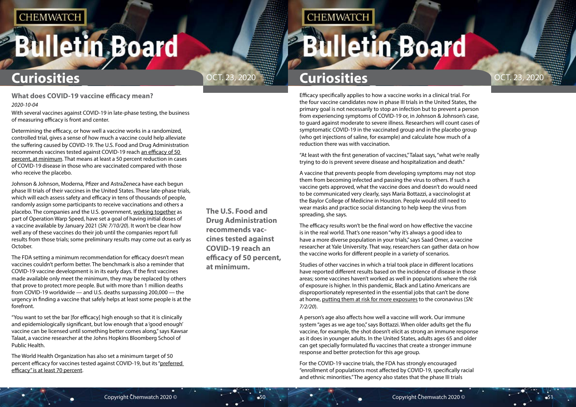# <span id="page-25-0"></span>**Bulletin Board**

**The U.S. Food and Drug Administration recommends vaccines tested against COVID-19 reach an efficacy of 50 percent, at minimum.**

# OCT. 23, 2020 **Curiosities**

**CHEMWATCH** 

Efficacy specifically applies to how a vaccine works in a clinical trial. For the four vaccine candidates now in phase III trials in the United States, the primary goal is not necessarily to stop an infection but to prevent a person from experiencing symptoms of COVID-19 or, in Johnson & Johnson's case, to guard against moderate to severe illness. Researchers will count cases of symptomatic COVID-19 in the vaccinated group and in the placebo group (who get injections of saline, for example) and calculate how much of a reduction there was with vaccination.

"At least with the first generation of vaccines," Talaat says, "what we're really trying to do is prevent severe disease and hospitalization and death."

A vaccine that prevents people from developing symptoms may not stop them from becoming infected and passing the virus to others. If such a vaccine gets approved, what the vaccine does and doesn't do would need to be communicated very clearly, says Maria Bottazzi, a vaccinologist at the Baylor College of Medicine in Houston. People would still need to wear masks and practice social distancing to help keep the virus from spreading, she says.

The efficacy results won't be the final word on how effective the vaccine is in the real world. That's one reason "why it's always a good idea to have a more diverse population in your trials," says Saad Omer, a vaccine researcher at Yale University. That way, researchers can gather data on how the vaccine works for different people in a variety of scenarios.

Studies of other vaccines in which a trial took place in different locations have reported different results based on the incidence of disease in those areas; some vaccines haven't worked as well in populations where the risk of exposure is higher. In this pandemic, Black and Latino Americans are disproportionately represented in the essential jobs that can't be done at home, [putting them at risk for more exposures](https://www.sciencenews.org/article/coronavirus-pandemic-six-months-covid-19-symptoms) to the coronavirus (*SN: 7/2/20*).

A person's age also affects how well a vaccine will work. Our immune system "ages as we age too," says Bottazzi. When older adults get the flu vaccine, for example, the shot doesn't elicit as strong an immune response as it does in younger adults. In the United States, adults ages 65 and older can get specially formulated flu vaccines that create a stronger immune response and better protection for this age group.

For the COVID-19 vaccine trials, the FDA has strongly encouraged "enrollment of populations most affected by COVID-19, specifically racial and ethnic minorities." The agency also states that the phase III trials

# **Bulletin Board**

**What does COVID-19 vaccine efficacy mean?** *2020-10-04*

With several vaccines against COVID-19 in late-phase testing, the business of measuring efficacy is front and center.

Determining the efficacy, or how well a vaccine works in a randomized, controlled trial, gives a sense of how much a vaccine could help alleviate the suffering caused by COVID-19. The U.S. Food and Drug Administration recommends vaccines tested against COVID-19 reach [an efficacy of 50](https://www.fda.gov/media/139638/download)  [percent, at minimum.](https://www.fda.gov/media/139638/download) That means at least a 50 percent reduction in cases of COVID-19 disease in those who are vaccinated compared with those who receive the placebo.

Johnson & Johnson, Moderna, Pfizer and AstraZeneca have each begun phase III trials of their vaccines in the United States. These late-phase trials, which will each assess safety and efficacy in tens of thousands of people, randomly assign some participants to receive vaccinations and others a placebo. The companies and the U.S. government, [working together](https://www.sciencenews.org/article/coronavirus-covid-19-vaccine-clinical-trials-speed-safety) as part of Operation Warp Speed, have set a goal of having initial doses of a vaccine available by January 2021 (*SN: 7/10/20*). It won't be clear how well any of these vaccines do their job until the companies report full results from those trials; some preliminary results may come out as early as October.

The FDA setting a minimum recommendation for efficacy doesn't mean vaccines couldn't perform better. The benchmark is also a reminder that COVID-19 vaccine development is in its early days. If the first vaccines made available only meet the minimum, they may be replaced by others that prove to protect more people. But with more than 1 million deaths from COVID-19 worldwide — and U.S. deaths surpassing 200,000 — the urgency in finding a vaccine that safely helps at least some people is at the forefront.

"You want to set the bar [for efficacy] high enough so that it is clinically and epidemiologically significant, but low enough that a 'good enough' vaccine can be licensed until something better comes along," says Kawsar Talaat, a vaccine researcher at the Johns Hopkins Bloomberg School of Public Health.

The World Health Organization has also set a minimum target of 50 percent efficacy for vaccines tested against COVID-19, but its ["preferred](https://www.who.int/docs/default-source/blue-print/who-target-product-profiles-for-covid-19-vaccines.pdf?sfvrsn=1d5da7ca_5)  [efficacy" is at least 70 percent.](https://www.who.int/docs/default-source/blue-print/who-target-product-profiles-for-covid-19-vaccines.pdf?sfvrsn=1d5da7ca_5)

# **Curiosities**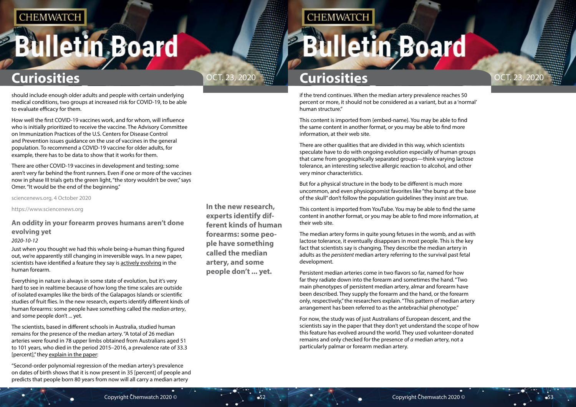# <span id="page-26-0"></span>**Bulletin Board**



## **In the new research, experts identify different kinds of human forearms: some people have something called the median artery, and some people don't ... yet.**

**CHEMWATCH** 

# **Curiosities Curiosities**

if the trend continues. When the median artery prevalence reaches 50 percent or more, it should not be considered as a variant, but as a 'normal' human structure."

This content is imported from {embed-name}. You may be able to find the same content in another format, or you may be able to find more information, at their web site.

There are other qualities that are divided in this way, which scientists speculate have to do with ongoing evolution especially of human groups that came from geographically separated groups—think varying lactose tolerance, an interesting selective allergic reaction to alcohol, and other very minor characteristics.

But for a physical structure in the body to be different is much more uncommon, and even physiognomist favorites like "the bump at the base of the skull" don't follow the population guidelines they insist are true.

This content is imported from YouTube. You may be able to find the same content in another format, or you may be able to find more information, at their web site.

The median artery forms in quite young fetuses in the womb, and as with lactose tolerance, it eventually disappears in most people. This is the key fact that scientists say is changing. They describe the median artery in adults as the *persistent* median artery referring to the survival past fetal development.

Persistent median arteries come in two flavors so far, named for how far they radiate down into the forearm and sometimes the hand. "Two main phenotypes of persistent median artery, almar and forearm have been described. They supply the forearm and the hand, or the forearm only, respectively," the researchers explain. "This pattern of median artery arrangement has been referred to as the antebrachial phenotype."

For now, the study was of just Australians of European descent, and the scientists say in the paper that they don't yet understand the scope of how this feature has evolved around the world. They used volunteer-donated remains and only checked for the presence of *a* median artery, not a particularly palmar or forearm median artery.

should include enough older adults and people with certain underlying medical conditions, two groups at increased risk for COVID-19, to be able to evaluate efficacy for them.

How well the first COVID-19 vaccines work, and for whom, will influence who is initially prioritized to receive the vaccine. The Advisory Committee on Immunization Practices of the U.S. Centers for Disease Control and Prevention issues guidance on the use of vaccines in the general population. To recommend a COVID-19 vaccine for older adults, for example, there has to be data to show that it works for them.

There are other COVID-19 vaccines in development and testing; some aren't very far behind the front runners. Even if one or more of the vaccines now in phase III trials gets the green light, "the story wouldn't be over," says Omer. "It would be the end of the beginning."

sciencenews.org, 4 October 2020

https://www.sciencenews.org

## **An oddity in your forearm proves humans aren't done evolving yet**

### *2020-10-12*

Just when you thought we had this whole being-a-human thing figured out, we're apparently still changing in irreversible ways. In a new paper, scientists have identified a feature they say is [actively evolving](https://www.iflscience.com/health-and-medicine/an-anatomical-feature-in-our-arms-is-proving-humans-are-still-evolving/) in the human forearm.

Everything in nature is always in some state of evolution, but it's very hard to see in realtime because of how long the time scales are outside of isolated examples like the birds of the Galapagos Islands or scientific studies of fruit flies. In the new research, experts identify different kinds of human forearms: some people have something called the *median artery*, and some people don't ... yet.

The scientists, based in different schools in Australia, studied human remains for the presence of the median artery. "A total of 26 median arteries were found in 78 upper limbs obtained from Australians aged 51 to 101 years, who died in the period 2015–2016, a prevalence rate of 33.3 [percent]," they [explain in the paper:](https://onlinelibrary.wiley.com/doi/epdf/10.1111/joa.13224)

"Second-order polynomial regression of the median artery's prevalence on dates of birth shows that it is now present in 35 [percent] of people and predicts that people born 80 years from now will all carry a median artery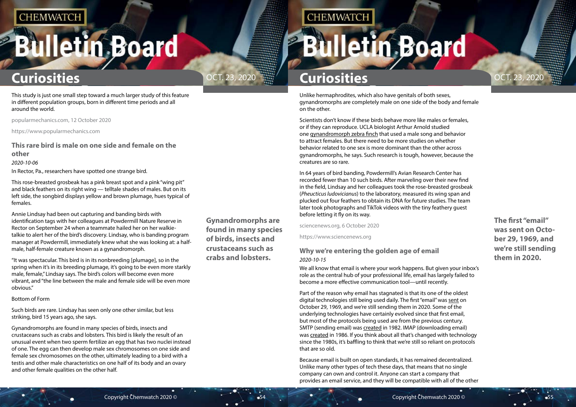# <span id="page-27-0"></span>**Bulletin Board**



**The first "email" was sent on October 29, 1969, and we're still sending them in 2020.**

**Gynandromorphs are found in many species of birds, insects and crustaceans such as crabs and lobsters.**

**CHEMWATCH** 

# **Curiosities Curiosities**

Unlike hermaphrodites, which also have genitals of both sexes, gynandromorphs are completely male on one side of the body and female on the other.

Scientists don't know if these birds behave more like males or females, or if they can reproduce. UCLA biologist Arthur Arnold studied one [gynandromorph zebra finch](https://www.sciencenews.org/www.pnas.org/content/100%20/8/4873) that used a male song and behavior to attract females. But there need to be more studies on whether behavior related to one sex is more dominant than the other across gynandromorphs, he says. Such research is tough, however, because the creatures are so rare.

We all know that email is where your work happens. But given your inbox's role as the central hub of your professional life, email has largely failed to become a more effective communication tool—until recently.

In 64 years of bird banding, Powdermill's Avian Research Center has recorded fewer than 10 such birds. After marveling over their new find in the field, Lindsay and her colleagues took the rose-breasted grosbeak (*Pheucticus ludovicianus*) to the laboratory, measured its wing span and plucked out four feathers to obtain its DNA for future studies. The team later took photographs and TikTok videos with the tiny feathery guest before letting it fly on its way.

sciencenews.org, 6 October 2020

https://www.sciencenews.org

## **Why we're entering the golden age of email** *2020-10-15*

Part of the reason why email has stagnated is that its one of the oldest digital technologies still being used daily. The first "email" was [sent](https://gizmodo.com/the-first-internet-message-ever-sent-was-lo-1597681715) on October 29, 1969, and we're still sending them in 2020. Some of the underlying technologies have certainly evolved since that first email, but most of the protocols being used are from the previous century. SMTP (sending email) was [created](https://en.wikipedia.org/wiki/Simple_Mail_Transfer_Protocol) in 1982. IMAP (downloading email) was [created](https://en.wikipedia.org/wiki/Internet_Message_Access_Protocol) in 1986. If you think about all that's changed with technology since the 1980s, it's baffling to think that we're still so reliant on protocols that are so old.

Because email is built on open standards, it has remained decentralized. Unlike many other types of tech these days, that means that no single company can own and control it. Anyone can start a company that provides an email service, and they will be compatible with all of the other

This study is just one small step toward a much larger study of this feature in different population groups, born in different time periods and all around the world.

popularmechanics.com, 12 October 2020

https://www.popularmechanics.com

## **This rare bird is male on one side and female on the other**

*2020-10-06*

In Rector, Pa., researchers have spotted one strange bird.

This rose-breasted grosbeak has a pink breast spot and a pink "wing pit" and black feathers on its right wing — telltale shades of males. But on its left side, the songbird displays yellow and brown plumage, hues typical of females.

Annie Lindsay had been out capturing and banding birds with identification tags with her colleagues at Powdermill Nature Reserve in Rector on September 24 when a teammate hailed her on her walkietalkie to alert her of the bird's discovery. Lindsay, who is banding program manager at Powdermill, immediately knew what she was looking at: a halfmale, half-female creature known as a gynandromorph.

"It was spectacular. This bird is in its nonbreeding [plumage], so in the spring when it's in its breeding plumage, it's going to be even more starkly male, female," Lindsay says. The bird's colors will become even more vibrant, and "the line between the male and female side will be even more obvious."

### Bottom of Form

Such birds are rare. Lindsay has seen only one other similar, but less striking, bird 15 years ago, she says.

Gynandromorphs are found in many species of birds, insects and crustaceans such as crabs and lobsters. This bird is likely the result of an unusual event when two sperm fertilize an egg that has two nuclei instead of one. The egg can then develop male sex chromosomes on one side and female sex chromosomes on the other, ultimately leading to a bird with a testis and other male characteristics on one half of its body and an ovary and other female qualities on the other half.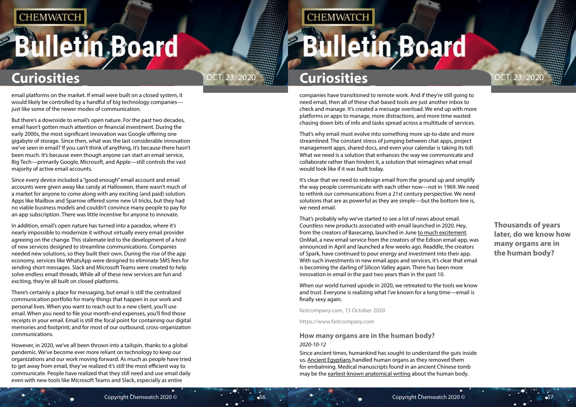# <span id="page-28-0"></span>**Bulletin Board**

**Thousands of years later, do we know how many organs are in the human body?**

# **Curiosities Curiosities**

companies have transitioned to remote work. And if they're still going to need email, then all of these chat-based tools are just another inbox to check and manage. It's created a message overload. We end up with more platforms or apps to manage, more distractions, and more time wasted chasing down bits of info and tasks spread across a multitude of services.

That's why email must evolve into something more up-to-date and more streamlined. The constant stress of jumping between chat apps, project management apps, shared docs, and even your calendar is taking its toll. What we need is a solution that enhances the way we communicate and collaborate rather than hinders it, a solution that reimagines what email would look like if it was built today.

Since ancient times, humankind has sought to understand the guts inside us. [Ancient Egyptians](https://www.livescience.com/55578-egyptian-civilization.html) handled human organs as they removed them for embalming. Medical manuscripts found in an ancient Chinese tomb may be the [earliest-known anatomical writing](https://www.livescience.com/oldest-known-human-atlas-china.html) about the human body.

# **Bulletin Board**

It's clear that we need to redesign email from the ground up and simplify the way people communicate with each other now—not in 1969. We need to rethink our communications from a 21st century perspective. We need solutions that are as powerful as they are simple—but the bottom line is, we need email.

That's probably why we've started to see a lot of news about email. Countless new products associated with email launched in 2020. Hey, from the creators of Basecamp, launched in June [to much excitement.](https://www.fastcompany.com/90522517/hey-is-a-visionary-alternative-to-gmail-but-its-missing-the-basics) OnMail, a new email service from the creators of the Edison email app, was announced in April and launched a few weeks ago. Readdle, the creators of Spark, have continued to pour energy and investment into their app. With such investments in new email apps and services, it's clear that email is becoming the darling of Silicon Valley again. There has been more innovation in email in the past two years than in the past 10.

When our world turned upside in 2020, we retreated to the tools we know and trust. Everyone is realizing what I've known for a long time—email is finally sexy again.

fastcompany.com, 15 October 2020

https://www.fastcompany.com

## **How many organs are in the human body?** *2020-10-12*

email platforms on the market. If email were built on a closed system, it would likely be controlled by a handful of big technology companies just like some of the newer modes of communication.

But there's a downside to email's open nature. For the past two decades, email hasn't gotten much attention or financial investment. During the early 2000s, the most significant innovation was Google offering one gigabyte of storage. Since then, what was the last considerable innovation we've seen in email? If you can't think of anything, it's because there hasn't been much. It's because even though anyone can start an email service, Big Tech—primarily Google, Microsoft, and Apple—still controls the vast majority of active email accounts.

Since every device included a "good enough" email account and email accounts were given away like candy at Halloween, there wasn't much of a market for anyone to come along with any exciting (and paid) solution. Apps like Mailbox and Sparrow offered some new UI tricks, but they had no viable business models and couldn't convince many people to pay for an app subscription. There was little incentive for anyone to innovate.

In addition, email's open nature has turned into a paradox, where it's nearly impossible to modernize it without virtually every email provider agreeing on the change. This stalemate led to the development of a host of new services designed to streamline communications. Companies needed new solutions, so they built their own. During the rise of the app economy, services like WhatsApp were designed to eliminate SMS fees for sending short messages. Slack and Microsoft Teams were created to help solve endless email threads. While all of these new services are fun and exciting, they're all built on closed platforms.

There's certainly a place for messaging, but email is still the centralized communication portfolio for many things that happen in our work and personal lives. When you want to reach out to a new client, you'll use email. When you need to file your month-end expenses, you'll find those receipts in your email. Email is still the focal point for containing our digital memories and footprint; and for most of our outbound, cross-organization communications.

However, in 2020, we've all been thrown into a tailspin, thanks to a global pandemic. We've become ever more reliant on technology to keep our organizations and our work moving forward. As much as people have tried to get away from email, they've realized it's still the most efficient way to communicate. People have realized that they still need and use email daily even with new tools like Microsoft Teams and Slack, especially as entire

# OCT. 23, 2020  $\frac{1}{2}$  Ouriosities and the contract of  $O$  OCT. 23, 2020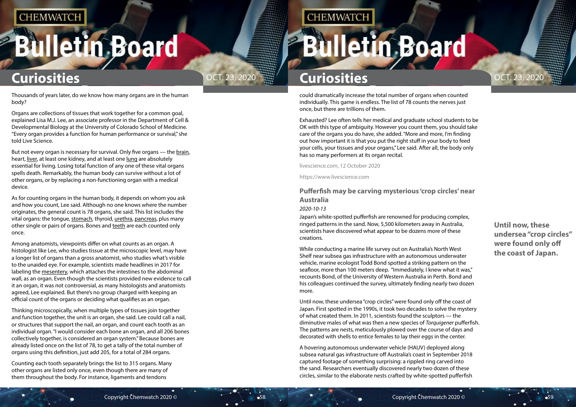# <span id="page-29-0"></span>**Bulletin Board**



**Until now, these undersea "crop circles" were found only off the coast of Japan.**

# **Curiosities Curiosities**

could dramatically increase the total number of organs when counted individually. This game is endless. The list of 78 counts the nerves just once, but there are trillions of them.

Exhausted? Lee often tells her medical and graduate school students to be OK with this type of ambiguity. However you count them, you should take care of the organs you do have, she added. "More and more, I'm finding out how important it is that you put the right stuff in your body to feed your cells, your tissues and your organs," Lee said. After all, the body only has so many performers at its organ recital.

livescience.com, 12 October 2020

https://www.livescience.com

## **Pufferfish may be carving mysterious 'crop circles' near Australia**

### *2020-10-13*

Japan's white-spotted pufferfish are renowned for producing complex, ringed patterns in the sand. Now, 5,500 kilometers away in Australia, scientists have discovered what appear to be dozens more of these creations.

While conducting a marine life survey out on Australia's North West Shelf near subsea gas infrastructure with an autonomous underwater vehicle, marine ecologist Todd Bond spotted a striking pattern on the seafloor, more than 100 meters deep. "Immediately, I knew what it was," recounts Bond, of the University of Western Australia in Perth. Bond and his colleagues continued the survey, ultimately finding nearly two dozen more.

But not every organ is necessary for survival. Only five organs - the [brain](https://www.livescience.com/29365-human-brain.html), heart, [liver](https://www.livescience.com/44859-liver.html), at least one kidney, and at least one [lung](https://www.livescience.com/52250-lung.html) are absolutely essential for living. Losing total function of any one of these vital organs spells death. Remarkably, the human body can survive without a lot of other organs, or by replacing a non-functioning organ with a medical device.

> Until now, these undersea "crop circles" were found only off the coast of Japan. First spotted in the 1990s, it took two decades to solve the mystery of what created them. In 2011, scientists found the sculptors — the diminutive males of what was then a new species of *Torquigener* pufferfish. The patterns are nests, meticulously plowed over the course of days and decorated with shells to entice females to lay their eggs in the center.

A hovering autonomous underwater vehicle (HAUV) deployed along subsea natural gas infrastructure off Australia's coast in September 2018 captured footage of something surprising: a rippled ring carved into the sand. Researchers eventually discovered nearly two dozen of these circles, similar to the elaborate nests crafted by white-spotted pufferfish

Thousands of years later, do we know how many organs are in the human body?

Organs are collections of tissues that work together for a common goal, explained Lisa M.J. Lee, an associate professor in the Department of Cell & Developmental Biology at the University of Colorado School of Medicine. "Every organ provides a function for human performance or survival," she told Live Science.

As for counting organs in the human body, it depends on whom you ask and how you count, Lee said. Although no one knows where the number originates, the general count is 78 organs, she said. This list includes the vital organs: the tongue, [stomach,](https://www.livescience.com/52046-stomach-facts-functions-diseases.html) thyroid, [urethra](https://www.livescience.com/27012-urinary-system.html), [pancreas](https://www.livescience.com/44662-pancreas.html), plus many other single or pairs of organs. Bones and [teeth](https://www.livescience.com/33130-why-are-teeth-not-considered-bones.html) are each counted only once.

Among anatomists, viewpoints differ on what counts as an organ. A histologist like Lee, who studies tissue at the microscopic level, may have a longer list of organs than a gross anatomist, who studies what's visible to the unaided eye. For example, scientists made headlines in 2017 for labeling the [mesentery,](https://www.livescience.com/57370-mesentery-new-organ-identified.html) which attaches the intestines to the abdominal wall, as an organ. Even though the scientists provided new evidence to call it an organ, it was not controversial, as many histologists and anatomists agreed, Lee explained. But there's no group charged with keeping an official count of the organs or deciding what qualifies as an organ.

Thinking microscopically, when multiple types of tissues join together and function together, the unit is an organ, she said. Lee could call a nail, or structures that support the nail, an organ, and count each tooth as an individual organ. "I would consider each bone an organ, and all 206 bones collectively together, is considered an organ system." Because bones are already listed once on the list of 78, to get a tally of the total number of organs using this definition, just add 205, for a total of 284 organs.

Counting each tooth separately brings the list to 315 organs. Many other organs are listed only once, even though there are many of them throughout the body. For instance, ligaments and tendons

## **CHEMWATCH**

# **Illetin Board**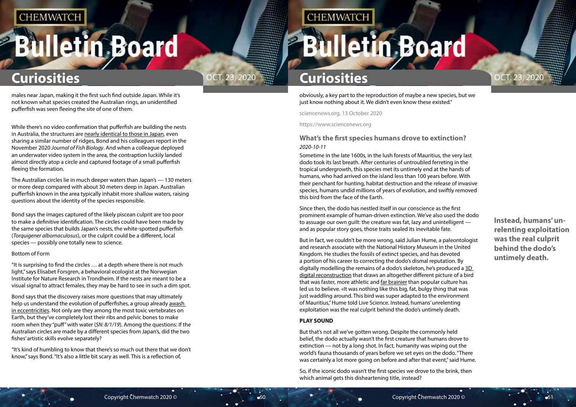# <span id="page-30-0"></span>**Bulletin Board**



obviously, a key part to the reproduction of maybe a new species, but we just know nothing about it. We didn't even know these existed."

> **Instead, humans' unrelenting exploitation was the real culprit behind the dodo's untimely death.**

# **Curiosities Curiosities**

sciencenews.org, 13 October 2020

https://www.sciencenews.org

## **What's the first species humans drove to extinction?** *2020-10-11*

Sometime in the late 1600s, in the lush forests of Mauritius, the very last dodo took its last breath. After centuries of untroubled ferreting in the tropical undergrowth, this species met its untimely end at the hands of humans, who had arrived on the island less than 100 years before. With their penchant for hunting, habitat destruction and the release of invasive species, humans undid millions of years of evolution, and swiftly removed this bird from the face of the Earth.

Since then, the dodo has nestled itself in our conscience as the first prominent example of human-driven extinction. We've also used the dodo to assuage our own guilt: the creature was fat, lazy and unintelligent and as popular story goes, those traits sealed its inevitable fate.

But in fact, we couldn't be more wrong, said Julian Hume, a paleontologist and research associate with the National History Museum in the United Kingdom. He studies the fossils of extinct species, and has devoted a portion of his career to correcting the dodo's dismal reputation. By digitally modelling the remains of a dodo's skeleton, he's produced a [3D](https://www.livescience.com/48647-dodo-bird-skeleton-secrets-revealed.html)  [digital reconstruction](https://www.livescience.com/48647-dodo-bird-skeleton-secrets-revealed.html) that draws an altogether different picture of a bird that was faster, more athletic and [far brainier](https://www.livescience.com/53822-dodo-birds-were-smart.html) than popular culture has led us to believe. «It was nothing like this big, fat, bulgy thing that was just waddling around. This bird was super adapted to the environment of Mauritius," Hume told Live Science. Instead, humans' unrelenting exploitation was the real culprit behind the dodo's untimely death.

### **PLAY SOUND**

But that's not all we've gotten wrong. Despite the commonly held belief, the dodo actually wasn't the first creature that humans drove to extinction — not by a long shot. In fact, humanity was wiping out the world's fauna thousands of years before we set eyes on the dodo. "There was certainly a lot more going on before and after that event," said Hume.

So, if the iconic dodo wasn't the first species we drove to the brink, then which animal gets this disheartening title, instead?

males near Japan, making it the first such find outside Japan. While it's not known what species created the Australian rings, an unidentified pufferfish was seen fleeing the site of one of them.

While there's no video confirmation that pufferfish are building the nests in Australia, the structures are [nearly identical to those in Japan,](https://onlinelibrary.wiley.com/doi/abs/10.1111/jfb.14506) even sharing a similar number of ridges, Bond and his colleagues report in the November 2020 *Journal of Fish Biology*. And when a colleague deployed an underwater video system in the area, the contraption luckily landed almost directly atop a circle and captured footage of a small pufferfish fleeing the formation.

The Australian circles lie in much deeper waters than Japan's — 130 meters or more deep compared with about 30 meters deep in Japan. Australian pufferfish known in the area typically inhabit more shallow waters, raising questions about the identity of the species responsible.

Bond says the images captured of the likely piscean culprit are too poor to make a definitive identification. The circles could have been made by the same species that builds Japan's nests, the white-spotted pufferfish (*Torquigener albomaculosus*), or the culprit could be a different, local species — possibly one totally new to science.

### Bottom of Form

"It is surprising to find the circles … at a depth where there is not much light," says Elisabet Forsgren, a behavioral ecologist at the Norwegian Institute for Nature Research in Trondheim. If the nests are meant to be a visual signal to attract females, they may be hard to see in such a dim spot.

Bond says that the discovery raises more questions that may ultimately help us understand the evolution of pufferfishes, a group already [awash](https://www.sciencenews.org/article/pufferfish-biology-mating-goofy-spiked-balloon)  [in eccentricities.](https://www.sciencenews.org/article/pufferfish-biology-mating-goofy-spiked-balloon) Not only are they among the most toxic vertebrates on Earth, but they've completely lost their ribs and pelvic bones to make room when they "puff" with water (*SN: 8/1/19*). Among the questions: If the Australian circles are made by a different species from Japan's, did the two fishes' artistic skills evolve separately?

"It's kind of humbling to know that there's so much out there that we don't know," says Bond. "It's also a little bit scary as well. This is a reflection of,

## **CHEMWATCH**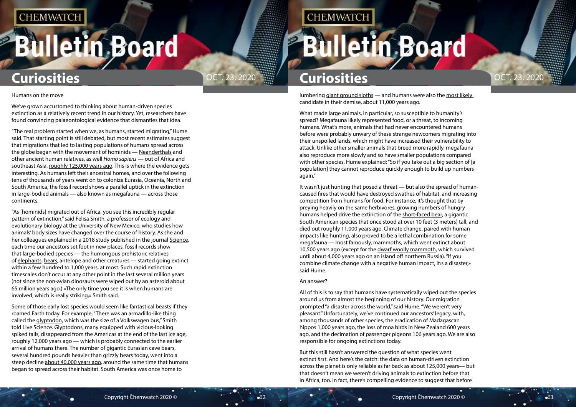# **Bulletin Board**



lumbering [giant ground sloths](https://www.livescience.com/56762-giant-ground-sloth.html) — and humans were also the most likely candidate in their demise, about 11,000 years ago.

What made large animals, in particular, so susceptible to humanity's spread? Megafauna likely represented food, or a threat, to incoming humans. What's more, animals that had never encountered humans before were probably unwary of these strange newcomers migrating into their unspoiled lands, which might have increased their vulnerability to attack. Unlike other smaller animals that breed more rapidly, megafauna also reproduce more slowly and so have smaller populations compared with other species, Hume explained: "So if you take out a big section of [a population] they cannot reproduce quickly enough to build up numbers again."

It wasn't just hunting that posed a threat — but also the spread of humancaused fires that would have destroyed swathes of habitat, and increasing competition from humans for food. For instance, it's thought that by preying heavily on the same herbivores, growing numbers of hungry humans helped drive the extinction of the [short-faced bear,](https://www.livescience.com/11701-standing-11-feet-world-largest-bear-unearthed.html) a gigantic South American species that once stood at over 10 feet (3 meters) tall, and died out roughly 11,000 years ago. Climate change, paired with human impacts like hunting, also proved to be a lethal combination for some megafauna — most famously, mammoths, which went extinct about 10,500 years ago (except for the [dwarf woolly mammoth,](https://www.livescience.com/woolly-mammoth-genetic-problems.html) which survived until about 4,000 years ago on an island off northern Russia). "If you combine [climate change](https://www.livescience.com/climate-change.html) with a negative human impact, it›s a disaster,» said Hume.

### An answer?

All of this is to say that humans have systematically wiped out the species around us from almost the beginning of our history. Our migration prompted "a disaster across the world," said Hume. "We weren't very pleasant." Unfortunately, we've continued our ancestors' legacy, with, among thousands of other species, the eradication of Madagascan hippos 1,000 years ago, the loss of moa birds in New Zealand 600 years ago, and the decimation of [passenger pigeons 106 years ago](https://theconversation.com/why-passenger-pigeons-went-extinct-a-century-ago-132736). We are also responsible for ongoing extinctions today.

But this still hasn't answered the question of what species went extinct *first*. And here's the catch: the data on human-driven extinction across the planet is only reliable as far back as about 125,000 years— but that doesn't mean we weren't driving animals to extinction before that in Africa, too. In fact, there's compelling evidence to suggest that before

### Humans on the move

We've grown accustomed to thinking about human-driven species extinction as a relatively recent trend in our history. Yet, researchers have found convincing palaeontological evidence that dismantles that idea.

"The real problem started when we, as humans, started migrating," Hume said. That starting point is still debated, but most recent estimates suggest that migrations that led to lasting populations of humans spread across the globe began with the movement of hominids - [Neanderthals](https://www.livescience.com/28036-neanderthals-facts-about-our-extinct-human-relatives.html) and other ancient human relatives, as well *Homo sapiens* — out of Africa and southeast Asia, [roughly 125,000 years ago.](https://www.sciencedaily.com/releases/2019/11/191126091309.htm) This is where the evidence gets interesting. As humans left their ancestral homes, and over the following tens of thousands of years went on to colonize Eurasia, Oceania, North and South America, the fossil record shows a parallel uptick in the extinction in large-bodied animals — also known as megafauna — across those continents.

"As [hominids] migrated out of Africa, you see this incredibly regular pattern of extinction," said Felisa Smith, a professor of ecology and evolutionary biology at the University of New Mexico, who studies how animals' body sizes have changed over the course of history. As she and her colleagues explained in a 2018 study published in the journal [Science](https://science.sciencemag.org/content/360/6386/310), each time our ancestors set foot in new places, fossil records show that large-bodied species — the humongous prehistoric relatives of [elephants,](https://www.livescience.com/27320-elephants.html) [bears](https://www.livescience.com/27647-bears.html), antelope and other creatures — started going extinct within a few hundred to 1,000 years, at most. Such rapid extinction timescales don't occur at any other point in the last several million years (not since the non-avian dinosaurs were wiped out by an [asteroid](https://www.livescience.com/difference-between-asteroids-comets-and-meteors.html) about 65 million years ago.) «The only time you see it is when humans are involved, which is really striking,» Smith said.

Some of those early lost species would seem like fantastical beasts if they roamed Earth today. For example, "There was an armadillo-like thing called the [glyptodon,](https://www.livescience.com/51793-extinct-ice-age-megafauna.html) which was the size of a Volkswagen bus," Smith told Live Science. Glyptodons, many equipped with vicious-looking spiked tails, disappeared from the Americas at the end of the last ice age, roughly 12,000 years ago — which is probably connected to the earlier arrival of humans there. The number of gigantic Eurasian cave bears, several hundred pounds heavier than grizzly bears today, went into a steep decline [about 40,000 years ago,](https://go.redirectingat.com/?id=92X1590019&xcust=livescience_au_1330622937897205800&xs=1&url=https%3A%2F%2Fwww.nature.com%2Farticles%2Fs41598-019-47073-z&sref=https%3A%2F%2Fwww.livescience.com%2Ffirst-human-caused-animal-extinction.html%3Futm_source%3DSelligent%26utm_medium%3Demail%26utm_campaign%3D9160%26utm_content%3DLVS_newsletter%2B%26utm_term%3D5348150%26m_i%3DY78%252BgHo7pq3cy9mobiPFeDUO1NzkJvWR_Dztpo85lXfvgM%252BlSJhOLJZxMYTIZoxtwz4w%252BWfqpktbgdmRbBBtcT7bFHGms4r6tNq0ZvqYYN) around the same time that humans began to spread across their habitat. South America was once home to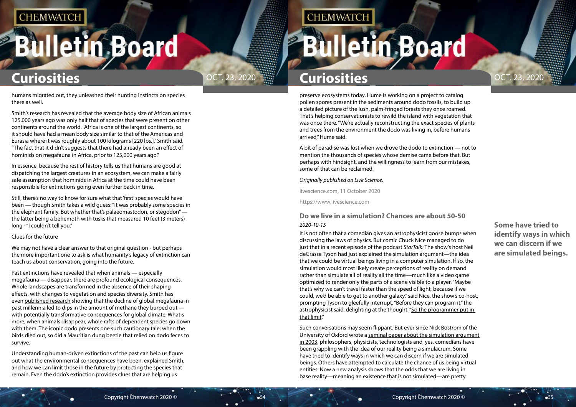# <span id="page-32-0"></span>**Bulletin Board**



**Some have tried to identify ways in which we can discern if we are simulated beings.**

# **Curiosities Curiosities**

preserve ecosystems today. Hume is working on a project to catalog pollen spores present in the sediments around dodo [fossils,](https://www.livescience.com/37781-how-do-fossils-form-rocks.html) to build up a detailed picture of the lush, palm-fringed forests they once roamed. That's helping conservationists to rewild the island with vegetation that was once there. "We're actually reconstructing the exact species of plants and trees from the environment the dodo was living in, before humans arrived," Hume said.

A bit of paradise was lost when we drove the dodo to extinction — not to mention the thousands of species whose demise came before that. But perhaps with hindsight, and the willingness to learn from our mistakes, some of that can be reclaimed.

### *Originally published on Live Science.*

livescience.com, 11 October 2020

https://www.livescience.com

## **Do we live in a simulation? Chances are about 50-50** *2020-10-15*

It is not often that a comedian gives an astrophysicist goose bumps when discussing the laws of physics. But comic Chuck Nice managed to do just that in a recent episode of the podcast *StarTalk*. The show's host Neil deGrasse Tyson had just explained the simulation argument—the idea that we could be virtual beings living in a computer simulation. If so, the simulation would most likely create perceptions of reality on demand rather than simulate all of reality all the time—much like a video game optimized to render only the parts of a scene visible to a player. "Maybe that's why we can't travel faster than the speed of light, because if we could, we'd be able to get to another galaxy," said Nice, the show's co-host, prompting Tyson to gleefully interrupt. "Before they can program it," the astrophysicist said, delighting at the thought. ["So the programmer put in](https://youtu.be/pmcrG7ZZKUc?t=98)  [that limit.](https://youtu.be/pmcrG7ZZKUc?t=98)"

Such conversations may seem flippant. But ever since Nick Bostrom of the University of Oxford wrote a [seminal paper about the simulation argument](https://academic.oup.com/pq/article-abstract/53/211/243/1610975) [in 2003,](https://academic.oup.com/pq/article-abstract/53/211/243/1610975) philosophers, physicists, technologists and, yes, comedians have been grappling with the idea of our reality being a simulacrum. Some have tried to identify ways in which we can discern if we are simulated beings. Others have attempted to calculate the chance of us being virtual entities. Now a new analysis shows that the odds that we are living in base reality—meaning an existence that is not simulated—are pretty

humans migrated out, they unleashed their hunting instincts on species there as well.

Smith's research has revealed that the average body size of African animals 125,000 years ago was only half that of species that were present on other continents around the world. "Africa is one of the largest continents, so it should have had a mean body size similar to that of the Americas and Eurasia where it was roughly about 100 kilograms [220 lbs.]," Smith said. "The fact that it didn't suggests that there had already been an effect of hominids on megafauna in Africa, prior to 125,000 years ago."

In essence, because the rest of history tells us that humans are good at dispatching the largest creatures in an ecosystem, we can make a fairly safe assumption that hominids in Africa at the time could have been responsible for extinctions going even further back in time.

Still, there's no way to know for sure what that 'first' species would have been — though Smith takes a wild guess: "It was probably some species in the elephant family. But whether that's palaeomastodon, or stegodon" the latter being a behemoth with tusks that measured 10 feet (3 meters) long - "I couldn't tell you."

### Clues for the future

We may not have a clear answer to that original question - but perhaps the more important one to ask is what humanity's legacy of extinction can teach us about conservation, going into the future.

Past extinctions have revealed that when animals — especially megafauna — disappear, there are profound ecological consequences. Whole landscapes are transformed in the absence of their shaping effects, with changes to vegetation and species diversity. Smith has even [published research](https://www.pnas.org/content/113/4/874) showing that the decline of global megafauna in past millennia led to dips in the amount of methane they burped out with potentially transformative consequences for global climate. What›s more, when animals disappear, whole rafts of dependent species go down with them. The iconic dodo presents one such cautionary tale: when the birds died out, so did a [Mauritian dung beetle](https://www.nhm.ac.uk/discover/the-lost-world-of-the-dodo.html) that relied on dodo feces to survive.

Understanding human-driven extinctions of the past can help us figure out what the environmental consequences have been, explained Smith, and how we can limit those in the future by protecting the species that remain. Even the dodo's extinction provides clues that are helping us

## **CHEMWATCH**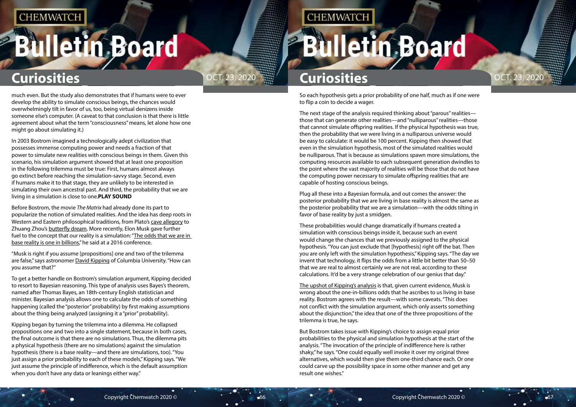# **Bulletin Board**



So each hypothesis gets a prior probability of one half, much as if one were to flip a coin to decide a wager.

The next stage of the analysis required thinking about "parous" realities those that can generate other realities—and "nulliparous" realities—those that cannot simulate offspring realities. If the physical hypothesis was true, then the probability that we were living in a nulliparous universe would be easy to calculate: it would be 100 percent. Kipping then showed that even in the simulation hypothesis, most of the simulated realities would be nulliparous. That is because as simulations spawn more simulations, the computing resources available to each subsequent generation dwindles to the point where the vast majority of realities will be those that do not have the computing power necessary to simulate offspring realities that are capable of hosting conscious beings.

Plug all these into a Bayesian formula, and out comes the answer: the posterior probability that we are living in base reality is almost the same as the posterior probability that we are a simulation—with the odds tilting in favor of base reality by just a smidgen.

These probabilities would change dramatically if humans created a simulation with conscious beings inside it, because such an event would change the chances that we previously assigned to the physical hypothesis. "You can just exclude that [hypothesis] right off the bat. Then you are only left with the simulation hypothesis," Kipping says. "The day we invent that technology, it flips the odds from a little bit better than 50–50 that we are real to almost certainly we are not real, according to these calculations. It'd be a very strange celebration of our genius that day."

[The upshot of Kipping's analysis](https://www.mdpi.com/2218-1997/6/8/109) is that, given current evidence, Musk is wrong about the one-in-billions odds that he ascribes to us living in base reality. Bostrom agrees with the result—with some caveats. "This does not conflict with the simulation argument, which only asserts something about the disjunction," the idea that one of the three propositions of the trilemma is true, he says.

But Bostrom takes issue with Kipping's choice to assign equal prior probabilities to the physical and simulation hypothesis at the start of the analysis. "The invocation of the principle of indifference here is rather shaky," he says. "One could equally well invoke it over my original three alternatives, which would then give them one-third chance each. Or one could carve up the possibility space in some other manner and get any result one wishes."

much even. But the study also demonstrates that if humans were to ever develop the ability to simulate conscious beings, the chances would overwhelmingly tilt in favor of us, too, being virtual denizens inside someone else's computer. (A caveat to that conclusion is that there is little agreement about what the term "consciousness" means, let alone how one might go about simulating it.)

In 2003 Bostrom imagined a technologically adept civilization that possesses immense computing power and needs a fraction of that power to simulate new realities with conscious beings in them. Given this scenario, his simulation argument showed that at least one proposition in the following trilemma must be true: First, humans almost always go extinct before reaching the simulation-savvy stage. Second, even if humans make it to that stage, they are unlikely to be interested in simulating their own ancestral past. And third, the probability that we are living in a simulation is close to one.**PLAY SOUND**

Before Bostrom, the movie *The Matrix* had already done its part to popularize the notion of simulated realities. And the idea has deep roots in Western and Eastern philosophical traditions, from Plato's [cave allegory](https://en.wikipedia.org/wiki/Allegory_of_the_cave) to Zhuang Zhou's butterfly dream. More recently, Elon Musk gave further fuel to the concept that our reality is a simulation: "[The odds that we are in](https://youtu.be/2KK_kzrJPS8?t=142)  [base reality is one in billions](https://youtu.be/2KK_kzrJPS8?t=142)," he said at a 2016 conference.

"Musk is right if you assume [propositions] one and two of the trilemma are false," says astronomer **[David Kipping](http://davidkipping.co.uk/) of Columbia University.** "How can you assume that?"

To get a better handle on Bostrom's simulation argument, Kipping decided to resort to Bayesian reasoning. This type of analysis uses Bayes's theorem, named after Thomas Bayes, an 18th-century English statistician and minister. Bayesian analysis allows one to calculate the odds of something happening (called the "posterior" probability) by first making assumptions about the thing being analyzed (assigning it a "prior" probability).

Kipping began by turning the trilemma into a dilemma. He collapsed propositions one and two into a single statement, because in both cases, the final outcome is that there are no simulations. Thus, the dilemma pits a physical hypothesis (there are no simulations) against the simulation hypothesis (there is a base reality—and there are simulations, too). "You just assign a prior probability to each of these models," Kipping says. "We just assume the principle of indifference, which is the default assumption when you don't have any data or leanings either way."

## **CHEMWATCH**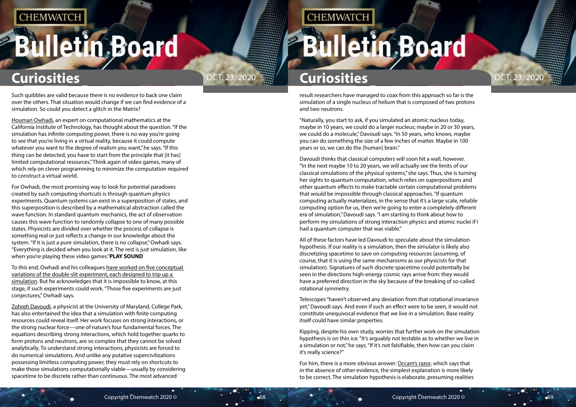# **Bulletin Board**



result researchers have managed to coax from this approach so far is the simulation of a single nucleus of helium that is composed of two protons and two neutrons.

"Naturally, you start to ask, if you simulated an atomic nucleus today, maybe in 10 years, we could do a larger nucleus; maybe in 20 or 30 years, we could do a molecule," Davoudi says. "In 50 years, who knows, maybe you can do something the size of a few inches of matter. Maybe in 100 years or so, we can do the [human] brain."

Davoudi thinks that classical computers will soon hit a wall, however. "In the next maybe 10 to 20 years, we will actually see the limits of our classical simulations of the physical systems," she says. Thus, she is turning her sights to quantum computation, which relies on superpositions and other quantum effects to make tractable certain computational problems that would be impossible through classical approaches. "If quantum computing actually materializes, in the sense that it's a large scale, reliable computing option for us, then we're going to enter a completely different era of simulation," Davoudi says. "I am starting to think about how to perform my simulations of strong interaction physics and atomic nuclei if I had a quantum computer that was viable."

All of these factors have led Davoudi to speculate about the simulation hypothesis. If our reality is a simulation, then the simulator is likely also discretizing spacetime to save on computing resources (assuming, of course, that it is using the same mechanisms as our physicists for that simulation). Signatures of such discrete spacetime could potentially be seen in the directions high-energy cosmic rays arrive from: they would have a preferred direction in the sky because of the breaking of so-called rotational symmetry.

Telescopes "haven't observed any deviation from that rotational invariance yet," Davoudi says. And even if such an effect were to be seen, it would not constitute unequivocal evidence that we live in a simulation. Base reality itself could have similar properties.

Kipping, despite his own study, worries that further work on the simulation hypothesis is on thin ice. "It's arguably not testable as to whether we live in a simulation or not," he says. "If it's not falsifiable, then how can you claim it's really science?"

For him, there is a more obvious answer: [Occam's razor,](https://en.wikipedia.org/wiki/Occam%27s_razor) which says that in the absence of other evidence, the simplest explanation is more likely to be correct. The simulation hypothesis is elaborate, presuming realities

Such quibbles are valid because there is no evidence to back one claim over the others. That situation would change if we can find evidence of a simulation. So could you detect a glitch in the Matrix?

[Houman Owhadi](http://users.cms.caltech.edu/~owhadi/index.htm), an expert on computational mathematics at the California Institute of Technology, has thought about the question. "If the simulation has infinite computing power, there is no way you're going to see that you're living in a virtual reality, because it could compute whatever you want to the degree of realism you want," he says. "If this thing can be detected, you have to start from the principle that [it has] limited computational resources." Think again of video games, many of which rely on clever programming to minimize the computation required to construct a virtual world.

For Owhadi, the most promising way to look for potential paradoxes created by such computing shortcuts is through quantum physics experiments. Quantum systems can exist in a superposition of states, and this superposition is described by a mathematical abstraction called the wave function. In standard quantum mechanics, the act of observation causes this wave function to randomly collapse to one of many possible states. Physicists are divided over whether the process of collapse is something real or just reflects a change in our knowledge about the system. "If it is just a pure simulation, there is no collapse," Owhadi says. "Everything is decided when you look at it. The rest is just simulation, like when you're playing these video games."**PLAY SOUND**

To this end, Owhadi and his colleagues [have worked on five conceptual](https://ijqf.org/archives/4105)  [variations of the double-slit experiment, each designed to trip up a](https://ijqf.org/archives/4105)  [simulation.](https://ijqf.org/archives/4105) But he acknowledges that it is impossible to know, at this stage, if such experiments could work. "Those five experiments are just conjectures," Owhadi says.

[Zohreh Davoudi,](https://umdphysics.umd.edu/people/faculty/current/item/927-davoudi.html) a physicist at the University of Maryland, College Park, has also entertained the idea that a simulation with finite computing resources could reveal itself. Her work focuses on strong interactions, or the strong nuclear force—one of nature's four fundamental forces. The equations describing strong interactions, which hold together quarks to form protons and neutrons, are so complex that they cannot be solved analytically. To understand strong interactions, physicists are forced to do numerical simulations. And unlike any putative supercivilizations possessing limitless computing power, they must rely on shortcuts to make those simulations computationally viable—usually by considering spacetime to be discrete rather than continuous. The most advanced

## **CHEMWATCH**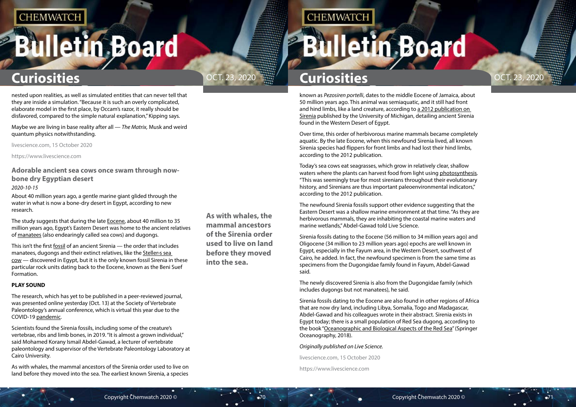# <span id="page-35-0"></span>**Bulletin Board**



**As with whales, the mammal ancestors of the Sirenia order used to live on land before they moved into the sea.**

**CHEMWATCH** 

# **Curiosities Curiosities**

known as *Pezosiren portelli*, dates to the middle Eocene of Jamaica, about 50 million years ago. This animal was semiaquatic, and it still had front and hind limbs, like a land creature, according to [a 2012 publication on](https://www.researchgate.net/publication/233932445_Late_Eocene_Sea_Cows_Mammalia_Sirenia_From_Wadi_Al_Hitan_In_The_Western_Desert_of_Fayum_Egypt)  [Sirenia](https://www.researchgate.net/publication/233932445_Late_Eocene_Sea_Cows_Mammalia_Sirenia_From_Wadi_Al_Hitan_In_The_Western_Desert_of_Fayum_Egypt) published by the University of Michigan, detailing ancient Sirenia found in the Western Desert of Egypt.

Over time, this order of herbivorous marine mammals became completely aquatic. By the late Eocene, when this newfound Sirenia lived, all known Sirenia species had flippers for front limbs and had lost their hind limbs, according to the 2012 publication.

Today's sea cows eat seagrasses, which grow in relatively clear, shallow waters where the plants can harvest food from light using [photosynthesis.](https://www.livescience.com/51720-photosynthesis.html) "This was seemingly true for most sirenians throughout their evolutionary history, and Sirenians are thus important paleoenvironmental indicators," according to the 2012 publication.

The newfound Sirenia fossils support other evidence suggesting that the Eastern Desert was a shallow marine environment at that time. "As they are herbivorous mammals, they are inhabiting the coastal marine waters and marine wetlands," Abdel-Gawad told Live Science.

Sirenia fossils dating to the Eocene (56 million to 34 million years ago) and Oligocene (34 million to 23 million years ago) epochs are well known in Egypt, especially in the Fayum area, in the Western Desert, southwest of Cairo, he added. In fact, the newfound specimen is from the same time as specimens from the Dugongidae family found in Fayum, Abdel-Gawad said.

The newly discovered Sirenia is also from the Dugongidae family (which includes dugongs but not manatees), he said.

Sirenia fossils dating to the Eocene are also found in other regions of Africa that are now dry land, including Libya, Somalia, Togo and Madagascar, Abdel-Gawad and his colleagues wrote in their abstract. Sirenia exists in Egypt today; there is a small population of Red Sea dugong, according to the book "[Oceanographic and Biological Aspects of the Red Sea"](https://target.georiot.com/Proxy.ashx?tsid=74387&GR_URL=https%3A%2F%2Fwww.amazon.com%2FOceanographic-Biological-Aspects-Springer-Oceanography%2Fdp%2F3319994166%3Ftag%3Dhawk-future-20%26ascsubtag%3Dlivescience-au-9447139962317343000-20) (Springer Oceanography, 2018).

### *Originally published on Live Science.*

livescience.com, 15 October 2020

https://www.livescience.com

nested upon realities, as well as simulated entities that can never tell that they are inside a simulation. "Because it is such an overly complicated, elaborate model in the first place, by Occam's razor, it really should be disfavored, compared to the simple natural explanation," Kipping says.

Maybe we are living in base reality after all — *The Matrix,* Musk and weird quantum physics notwithstanding.

livescience.com, 15 October 2020

https://www.livescience.com

## **Adorable ancient sea cows once swam through nowbone dry Egyptian desert**

### *2020-10-15*

About 40 million years ago, a gentle marine giant glided through the water in what is now a bone-dry desert in Egypt, according to new research.

The study suggests that during the late [Eocene,](https://www.livescience.com/40352-cenozoic-era.html) about 40 million to 35 million years ago, Egypt's Eastern Desert was home to the ancient relatives of [manatees](https://www.livescience.com/27405-manatees.html) (also endearingly called sea cows) and dugongs.

This isn't the first [fossil](https://www.livescience.com/37781-how-do-fossils-form-rocks.html) of an ancient Sirenia — the order that includes manatees, dugongs and their extinct relatives, like the [Steller›s sea](https://www.livescience.com/60994-steller-sea-cow-bones-discovered.html)  [cow](https://www.livescience.com/60994-steller-sea-cow-bones-discovered.html) — discovered in Egypt, but it is the only known fossil Sirenia in these particular rock units dating back to the Eocene, known as the Beni Suef Formation.

### **PLAY SOUND**

The research, which has yet to be published in a peer-reviewed journal, was presented online yesterday (Oct. 13) at the Society of Vertebrate Paleontology's annual conference, which is virtual this year due to the COVID-19 [pandemic](https://www.livescience.com/pandemic.html).

Scientists found the Sirenia fossils, including some of the creature's vertebrae, ribs and limb bones, in 2019. "It is almost a grown individual," said Mohamed Korany Ismail Abdel-Gawad, a lecturer of vertebrate paleontology and supervisor of the Vertebrate Paleontology Laboratory at Cairo University.

As with whales, the mammal ancestors of the Sirenia order used to live on land before they moved into the sea. The earliest known Sirenia, a species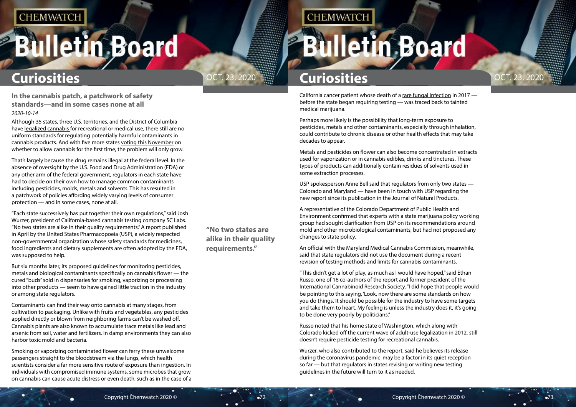# <span id="page-36-0"></span>**Bulletin Board**



**"No two states are alike in their quality requirements."** 

**CHEMWATCH** 

# **Curiosities Curiosities**

California cancer patient whose death of a [rare fungal infection](https://abc7news.com/recreational-marijuana-labs-with-unsafe-contaminated-norcal/2965470/) in 2017 before the state began requiring testing — was traced back to tainted medical marijuana.

Perhaps more likely is the possibility that long-term exposure to pesticides, metals and other contaminants, especially through inhalation, could contribute to chronic disease or other health effects that may take decades to appear.

Metals and pesticides on flower can also become concentrated in extracts used for vaporization or in cannabis edibles, drinks and tinctures. These types of products can additionally contain residues of solvents used in some extraction processes.

USP spokesperson Anne Bell said that regulators from only two states — Colorado and Maryland — have been in touch with USP regarding the new report since its publication in the Journal of Natural Products.

A representative of the Colorado Department of Public Health and Environment confirmed that experts with a state marijuana policy working group had sought clarification from USP on its recommendations around mold and other microbiological contaminants, but had not proposed any changes to state policy.

An official with the Maryland Medical Cannabis Commission, meanwhile, said that state regulators did not use the document during a recent revision of testing methods and limits for cannabis contaminants.

"This didn't get a lot of play, as much as I would have hoped," said Ethan Russo, one of 16 co-authors of the report and former president of the International Cannabinoid Research Society. "I did hope that people would be pointing to this saying, 'Look, now there are some standards on how you do things.' It should be possible for the industry to have some targets and take them to heart. My feeling is unless the industry does it, it's going to be done very poorly by politicians."

Russo noted that his home state of Washington, which along with Colorado kicked off the current wave of adult-use legalization in 2012, still doesn't require pesticide testing for recreational cannabis.

Wurzer, who also contributed to the report, said he believes its release during the coronavirus pandemic may be a factor in its quiet reception so far — but that regulators in states revising or writing new testing guidelines in the future will turn to it as needed.

**In the cannabis patch, a patchwork of safety standards—and in some cases none at all** *2020-10-14*

Although 35 states, three U.S. territories, and the District of Columbia have [legalized cannabis](https://www.leafly.com/learn/legalization,) for recreational or medical use, there still are no uniform standards for regulating potentially harmful contaminants in cannabis products. And with five more states [voting this November](https://www.leafly.com/news/politics/2020-marijuana-legalization-voter-guide) on whether to allow cannabis for the first time, the problem will only grow.

That's largely because the drug remains illegal at the federal level. In the absence of oversight by the U.S. Food and Drug Administration (FDA) or any other arm of the federal government, regulators in each state have had to decide on their own how to manage common contaminants including pesticides, molds, metals and solvents. This has resulted in a patchwork of policies affording widely varying levels of consumer protection — and in some cases, none at all.

"Each state successively has put together their own regulations," said Josh Wurzer, president of California-based cannabis testing company SC Labs. "No two states are alike in their quality requirements." [A report](https://pubs.acs.org/doi/full/10.1021/acs.jnatprod.9b01200) published in April by the United States Pharmacopoeia (USP), a widely respected non-governmental organization whose safety standards for medicines, food ingredients and dietary supplements are often adopted by the FDA, was supposed to help.

But six months later, its proposed guidelines for monitoring pesticides, metals and biological contaminants specifically on cannabis flower — the cured "buds" sold in dispensaries for smoking, vaporizing or processing into other products — seem to have gained little traction in the industry or among state regulators.

Contaminants can find their way onto cannabis at many stages, from cultivation to packaging. Unlike with fruits and vegetables, any pesticides applied directly or blown from neighboring farms can't be washed off. Cannabis plants are also known to accumulate trace metals like lead and arsenic from soil, water and fertilizers. In damp environments they can also harbor toxic mold and bacteria.

Smoking or vaporizing contaminated flower can ferry these unwelcome passengers straight to the bloodstream via the lungs, which health scientists consider a far more sensitive route of exposure than ingestion. In individuals with compromised immune systems, some microbes that grow on cannabis can cause acute distress or even death, such as in the case of a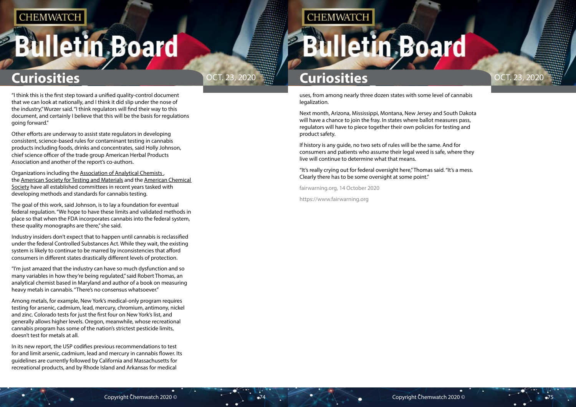# **Bulletin Board**





uses, from among nearly three dozen states with some level of cannabis legalization.

Next month, Arizona, Mississippi, Montana, New Jersey and South Dakota will have a chance to join the fray. In states where ballot measures pass, regulators will have to piece together their own policies for testing and product safety.

If history is any guide, no two sets of rules will be the same. And for consumers and patients who assume their legal weed is safe, where they live will continue to determine what that means.

"It's really crying out for federal oversight here," Thomas said. "It's a mess. Clearly there has to be some oversight at some point."

fairwarning.org, 14 October 2020

https://www.fairwarning.org

"I think this is the first step toward a unified quality-control document that we can look at nationally, and I think it did slip under the nose of the industry," Wurzer said. "I think regulators will find their way to this document, and certainly I believe that this will be the basis for regulations going forward."

Other efforts are underway to assist state regulators in developing consistent, science-based rules for contaminant testing in cannabis products including foods, drinks and concentrates, said Holly Johnson, chief science officer of the trade group American Herbal Products Association and another of the report's co-authors.

Organizations including the [Association of Analytical Chemists ,](https://www.aoac.org/scientific-solutions/casp/) the [American Society for Testing and Materials](https://www.astm.org/COMMITTEE/D37.htm) and the [American Chemical](https://cann-acs.org/)  [Society](https://cann-acs.org/) have all established committees in recent years tasked with developing methods and standards for cannabis testing.

The goal of this work, said Johnson, is to lay a foundation for eventual federal regulation. "We hope to have these limits and validated methods in place so that when the FDA incorporates cannabis into the federal system, these quality monographs are there," she said.

Industry insiders don't expect that to happen until cannabis is reclassified under the federal Controlled Substances Act. While they wait, the existing system is likely to continue to be marred by inconsistencies that afford consumers in different states drastically different levels of protection.

"I'm just amazed that the industry can have so much dysfunction and so many variables in how they're being regulated," said Robert Thomas, an analytical chemist based in Maryland and author of a book on measuring heavy metals in cannabis. "There's no consensus whatsoever."

Among metals, for example, New York's medical-only program requires testing for arsenic, cadmium, lead, mercury, chromium, antimony, nickel and zinc. Colorado tests for just the first four on New York's list, and generally allows higher levels. Oregon, meanwhile, whose recreational cannabis program has some of the nation's strictest pesticide limits, doesn't test for metals at all.

In its new report, the USP codifies previous recommendations to test for and limit arsenic, cadmium, lead and mercury in cannabis flower. Its guidelines are currently followed by California and Massachusetts for recreational products, and by Rhode Island and Arkansas for medical

## **CHEMWATCH**

# **Iletin Board**